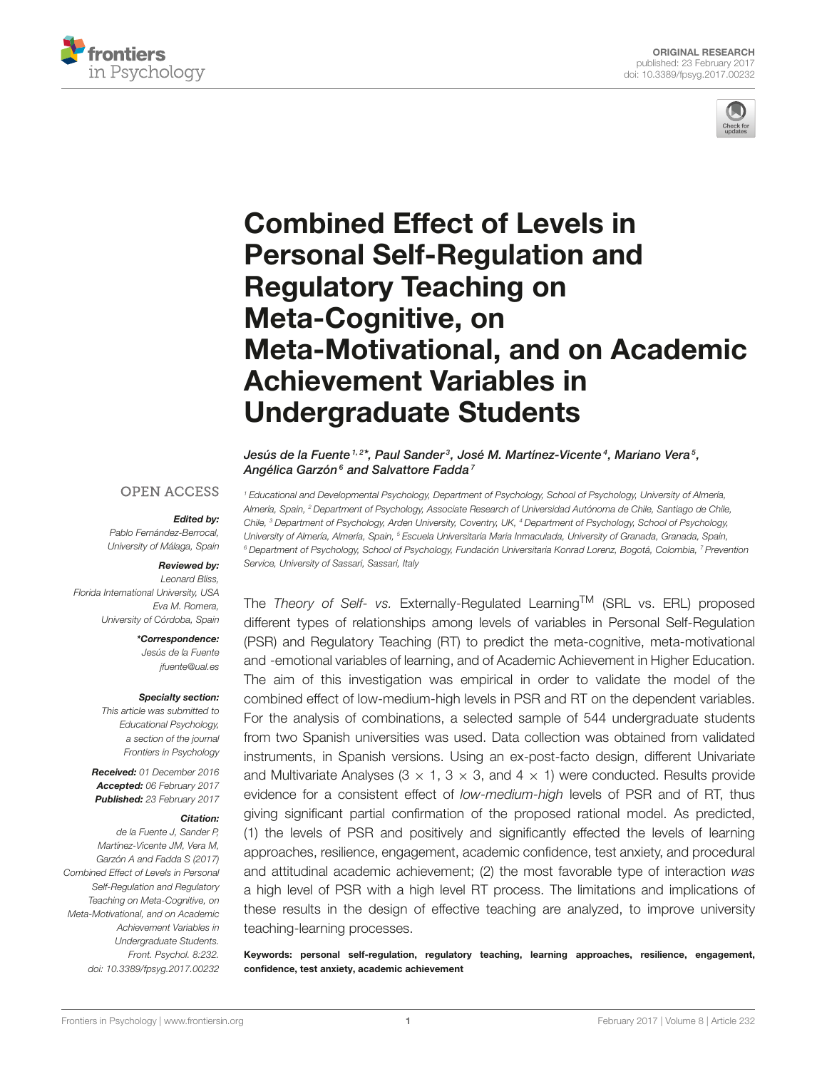



# Combined Effect of Levels in Personal Self-Regulation and Regulatory Teaching on Meta-Cognitive, on [Meta-Motivational, and on Academic](http://journal.frontiersin.org/article/10.3389/fpsyg.2017.00232/abstract) Achievement Variables in Undergraduate Students

[Jesús de la Fuente](http://loop.frontiersin.org/people/16306/overview) <sup>1,2\*</sup>, [Paul Sander](http://loop.frontiersin.org/people/130151/overview) <sup>3</sup>, [José M. Martínez-Vicente](http://loop.frontiersin.org/people/205647/overview) <sup>4</sup>, Mariano Vera <sup>5</sup>, [Angélica Garzón](http://loop.frontiersin.org/people/397281/overview)<sup>6</sup> and [Salvattore Fadda](http://loop.frontiersin.org/people/415373/overview)<sup>7</sup>

#### **OPEN ACCESS**

#### Edited by:

Pablo Fernández-Berrocal, University of Málaga, Spain

### Reviewed by:

Leonard Bliss, Florida International University, USA Eva M. Romera, University of Córdoba, Spain

> \*Correspondence: Jesús de la Fuente [jfuente@ual.es](mailto:jfuente@ual.es)

#### Specialty section:

This article was submitted to Educational Psychology, a section of the journal Frontiers in Psychology

Received: 01 December 2016 Accepted: 06 February 2017 Published: 23 February 2017

#### Citation:

de la Fuente J, Sander P, Martínez-Vicente JM, Vera M, Garzón A and Fadda S (2017) Combined Effect of Levels in Personal Self-Regulation and Regulatory Teaching on Meta-Cognitive, on Meta-Motivational, and on Academic Achievement Variables in Undergraduate Students. Front. Psychol. 8:232. doi: [10.3389/fpsyg.2017.00232](https://doi.org/10.3389/fpsyg.2017.00232)

<sup>1</sup> Educational and Developmental Psychology, Department of Psychology, School of Psychology, University of Almería, Almería, Spain, <sup>2</sup> Department of Psychology, Associate Research of Universidad Autónoma de Chile, Santiago de Chile, Chile, <sup>3</sup> Department of Psychology, Arden University, Coventry, UK, <sup>4</sup> Department of Psychology, School of Psychology, University of Almería, Almería, Spain, <sup>5</sup> Escuela Universitaria Maria Inmaculada, University of Granada, Granada, Spain, <sup>6</sup> Department of Psychology, School of Psychology, Fundación Universitaria Konrad Lorenz, Bogotá, Colombia, <sup>7</sup> Prevention Service, University of Sassari, Sassari, Italy

The Theory of Self- vs. Externally-Regulated Learning<sup>TM</sup> (SRL vs. ERL) proposed different types of relationships among levels of variables in Personal Self-Regulation (PSR) and Regulatory Teaching (RT) to predict the meta-cognitive, meta-motivational and -emotional variables of learning, and of Academic Achievement in Higher Education. The aim of this investigation was empirical in order to validate the model of the combined effect of low-medium-high levels in PSR and RT on the dependent variables. For the analysis of combinations, a selected sample of 544 undergraduate students from two Spanish universities was used. Data collection was obtained from validated instruments, in Spanish versions. Using an ex-post-facto design, different Univariate and Multivariate Analyses ( $3 \times 1$ ,  $3 \times 3$ , and  $4 \times 1$ ) were conducted. Results provide evidence for a consistent effect of low-medium-high levels of PSR and of RT, thus giving significant partial confirmation of the proposed rational model. As predicted, (1) the levels of PSR and positively and significantly effected the levels of learning approaches, resilience, engagement, academic confidence, test anxiety, and procedural and attitudinal academic achievement; (2) the most favorable type of interaction was a high level of PSR with a high level RT process. The limitations and implications of these results in the design of effective teaching are analyzed, to improve university teaching-learning processes.

Keywords: personal self-regulation, regulatory teaching, learning approaches, resilience, engagement, confidence, test anxiety, academic achievement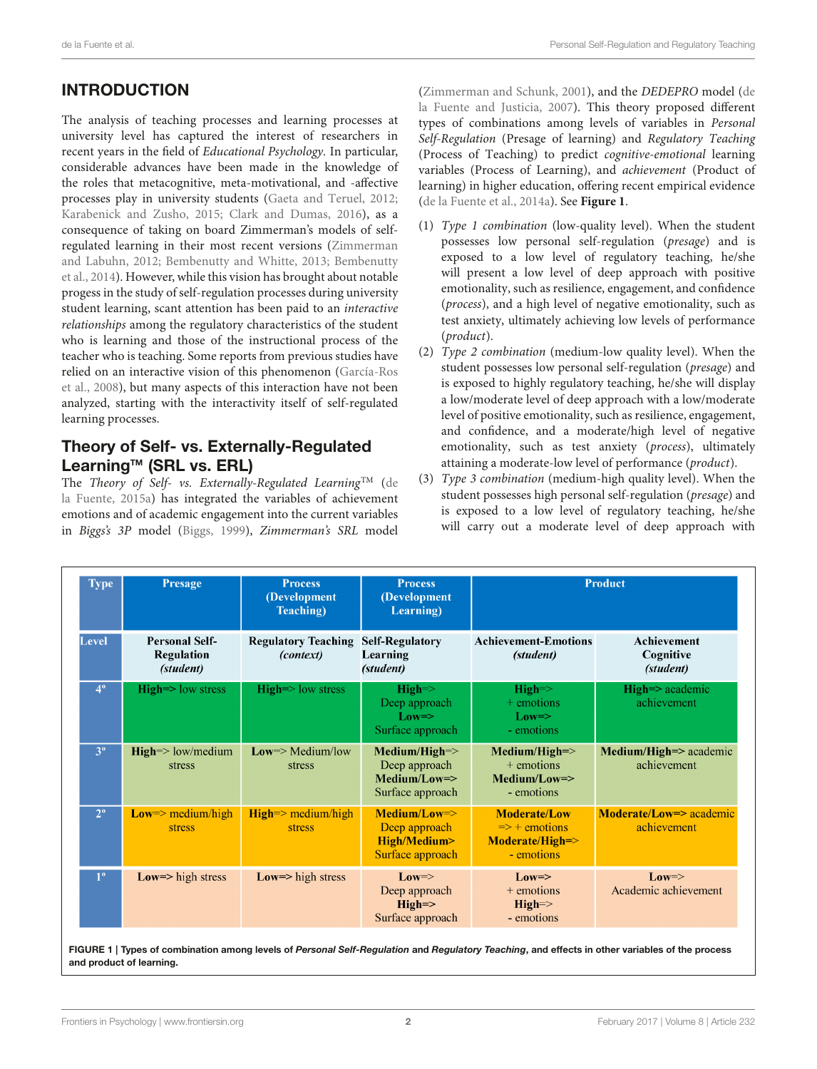## INTRODUCTION

The analysis of teaching processes and learning processes at university level has captured the interest of researchers in recent years in the field of Educational Psychology. In particular, considerable advances have been made in the knowledge of the roles that metacognitive, meta-motivational, and -affective processes play in university students [\(Gaeta and Teruel, 2012;](#page-17-0) [Karabenick and Zusho, 2015;](#page-17-1) [Clark and Dumas, 2016\)](#page-16-0), as a consequence of taking on board Zimmerman's models of selfregulated learning in their most recent versions (Zimmerman and Labuhn, [2012;](#page-18-0) [Bembenutty and Whitte, 2013;](#page-16-1) Bembenutty et al., [2014\)](#page-16-2). However, while this vision has brought about notable progess in the study of self-regulation processes during university student learning, scant attention has been paid to an interactive relationships among the regulatory characteristics of the student who is learning and those of the instructional process of the teacher who is teaching. Some reports from previous studies have relied on an interactive vision of this phenomenon (García-Ros et al., [2008\)](#page-17-2), but many aspects of this interaction have not been analyzed, starting with the interactivity itself of self-regulated learning processes.

### Theory of Self- vs. Externally-Regulated Learning<sup>™</sup> (SRL vs. ERL)

The Theory of Self- vs. Externally-Regulated Learning<sup>TM</sup> (de la Fuente, [2015a\)](#page-16-3) has integrated the variables of achievement emotions and of academic engagement into the current variables in Biggs's 3P model [\(Biggs, 1999\)](#page-16-4), Zimmerman's SRL model [\(Zimmerman and Schunk, 2001\)](#page-18-1), and the DEDEPRO model (de la Fuente and Justicia, [2007\)](#page-16-5). This theory proposed different types of combinations among levels of variables in Personal Self-Regulation (Presage of learning) and Regulatory Teaching (Process of Teaching) to predict cognitive-emotional learning variables (Process of Learning), and achievement (Product of learning) in higher education, offering recent empirical evidence [\(de la Fuente et al., 2014a\)](#page-16-6). See **[Figure 1](#page-1-0)**.

- (1) Type 1 combination (low-quality level). When the student possesses low personal self-regulation (presage) and is exposed to a low level of regulatory teaching, he/she will present a low level of deep approach with positive emotionality, such as resilience, engagement, and confidence (process), and a high level of negative emotionality, such as test anxiety, ultimately achieving low levels of performance (product).
- (2) Type 2 combination (medium-low quality level). When the student possesses low personal self-regulation (presage) and is exposed to highly regulatory teaching, he/she will display a low/moderate level of deep approach with a low/moderate level of positive emotionality, such as resilience, engagement, and confidence, and a moderate/high level of negative emotionality, such as test anxiety (process), ultimately attaining a moderate-low level of performance (product).
- (3) Type 3 combination (medium-high quality level). When the student possesses high personal self-regulation (presage) and is exposed to a low level of regulatory teaching, he/she will carry out a moderate level of deep approach with

| <b>Type</b>    | <b>Presage</b>                                          | <b>Process</b><br>(Development<br><b>Teaching</b> ) | <b>Process</b><br>(Development<br>Learning)                                                |                                                                                  | <b>Product</b>                               |
|----------------|---------------------------------------------------------|-----------------------------------------------------|--------------------------------------------------------------------------------------------|----------------------------------------------------------------------------------|----------------------------------------------|
| Level          | <b>Personal Self-</b><br><b>Regulation</b><br>(student) | <b>Regulatory Teaching</b><br><i>(context)</i>      | <b>Self-Regulatory</b><br>Learning<br>(student)                                            | <b>Achievement-Emotions</b><br>(student)                                         | <b>Achievement</b><br>Cognitive<br>(student) |
| $4^{\circ}$    | $High \Rightarrow low stress$                           | $High \geq low stress$                              | $High=\geq$<br>Deep approach<br>$Low \Rightarrow$<br>Surface approach                      | $High=\geq$<br>$+$ emotions<br>$Low \Rightarrow$<br>- emotions                   | $High \Rightarrow$ academic<br>achievement   |
| 3 <sup>o</sup> | $High \geq low/medium$<br>stress                        | $Low \geq Medium/low$<br>stress                     | $Median/High \Rightarrow$<br>Deep approach<br>$Median/Low \Rightarrow$<br>Surface approach | $Median/High \Rightarrow$<br>$+$ emotions<br>$Medium/Low = >$<br>- emotions      | Medium/High=> academic<br>achievement        |
| $2^{\circ}$    | $Low \ge medium/high$<br><b>stress</b>                  | $High \ge medium/high$<br><b>stress</b>             | $Medium/Low \Rightarrow$<br>Deep approach<br>High/Medium><br>Surface approach              | <b>Moderate/Low</b><br>$\Rightarrow$ + emotions<br>Moderate/High=><br>- emotions | Moderate/Low=> academic<br>achievement       |
| $1^{\circ}$    | Low= $>$ high stress                                    | Low= $>$ high stress                                | $Low \Rightarrow$<br>Deep approach<br>$High=\gt$<br>Surface approach                       | $Low \Rightarrow$<br>$+$ emotions<br>$High=\geq$<br>- emotions                   | $Low \Rightarrow$<br>Academic achievement    |

<span id="page-1-0"></span>FIGURE 1 | Types of combination among levels of Personal Self-Regulation and Regulatory Teaching, and effects in other variables of the process and product of learning.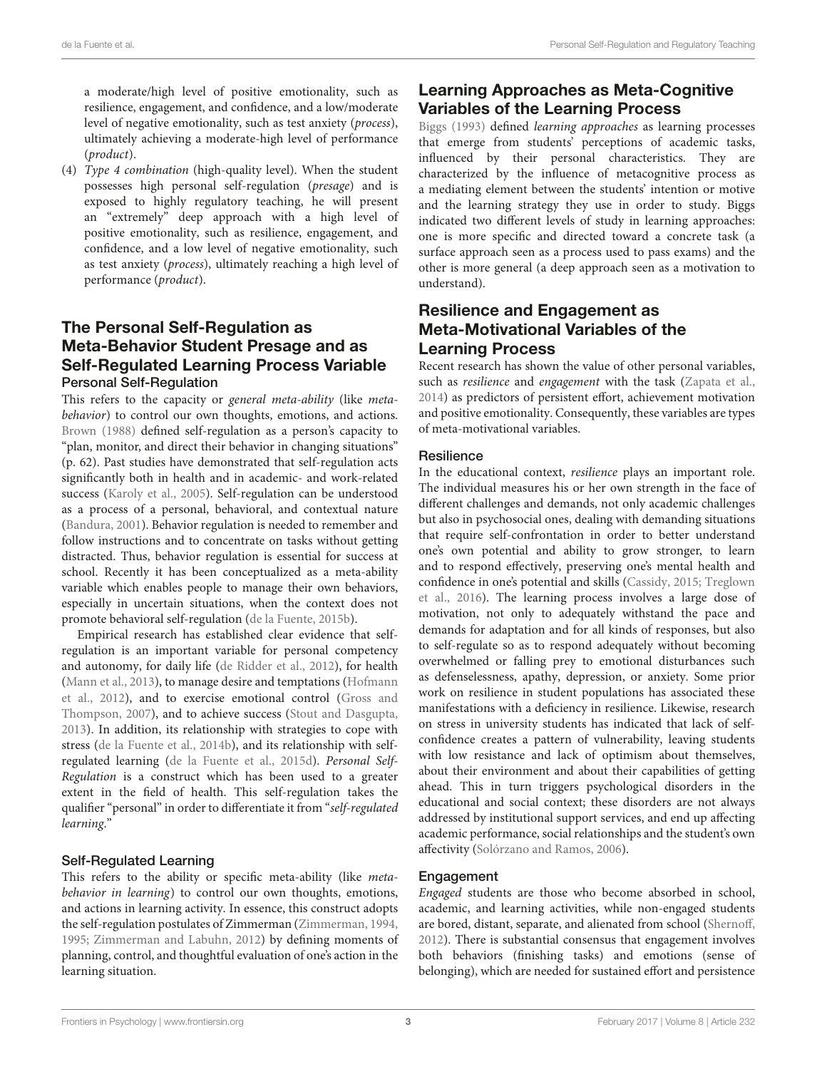a moderate/high level of positive emotionality, such as resilience, engagement, and confidence, and a low/moderate level of negative emotionality, such as test anxiety (process), ultimately achieving a moderate-high level of performance (product).

(4) Type 4 combination (high-quality level). When the student possesses high personal self-regulation (presage) and is exposed to highly regulatory teaching, he will present an "extremely" deep approach with a high level of positive emotionality, such as resilience, engagement, and confidence, and a low level of negative emotionality, such as test anxiety (process), ultimately reaching a high level of performance (product).

### The Personal Self-Regulation as Meta-Behavior Student Presage and as Self-Regulated Learning Process Variable Personal Self-Regulation

This refers to the capacity or general meta-ability (like metabehavior) to control our own thoughts, emotions, and actions. [Brown \(1988\)](#page-16-7) defined self-regulation as a person's capacity to "plan, monitor, and direct their behavior in changing situations" (p. 62). Past studies have demonstrated that self-regulation acts significantly both in health and in academic- and work-related success [\(Karoly et al., 2005\)](#page-17-3). Self-regulation can be understood as a process of a personal, behavioral, and contextual nature [\(Bandura, 2001\)](#page-16-8). Behavior regulation is needed to remember and follow instructions and to concentrate on tasks without getting distracted. Thus, behavior regulation is essential for success at school. Recently it has been conceptualized as a meta-ability variable which enables people to manage their own behaviors, especially in uncertain situations, when the context does not promote behavioral self-regulation [\(de la Fuente, 2015b\)](#page-16-9).

Empirical research has established clear evidence that selfregulation is an important variable for personal competency and autonomy, for daily life [\(de Ridder et al., 2012\)](#page-17-4), for health [\(Mann et al., 2013\)](#page-17-5), to manage desire and temptations (Hofmann et al., [2012\)](#page-17-6), and to exercise emotional control (Gross and Thompson, [2007\)](#page-17-7), and to achieve success [\(Stout and Dasgupta,](#page-18-2) [2013\)](#page-18-2). In addition, its relationship with strategies to cope with stress [\(de la Fuente et al., 2014b\)](#page-17-8), and its relationship with selfregulated learning [\(de la Fuente et al., 2015d\)](#page-17-9). Personal Self-Regulation is a construct which has been used to a greater extent in the field of health. This self-regulation takes the qualifier "personal" in order to differentiate it from "self-regulated learning."

### Self-Regulated Learning

This refers to the ability or specific meta-ability (like metabehavior in learning) to control our own thoughts, emotions, and actions in learning activity. In essence, this construct adopts the self-regulation postulates of Zimmerman [\(Zimmerman, 1994,](#page-18-3) [1995;](#page-18-4) [Zimmerman and Labuhn, 2012\)](#page-18-0) by defining moments of planning, control, and thoughtful evaluation of one's action in the learning situation.

### Learning Approaches as Meta-Cognitive Variables of the Learning Process

[Biggs \(1993\)](#page-16-10) defined learning approaches as learning processes that emerge from students' perceptions of academic tasks, influenced by their personal characteristics. They are characterized by the influence of metacognitive process as a mediating element between the students' intention or motive and the learning strategy they use in order to study. Biggs indicated two different levels of study in learning approaches: one is more specific and directed toward a concrete task (a surface approach seen as a process used to pass exams) and the other is more general (a deep approach seen as a motivation to understand).

### Resilience and Engagement as Meta-Motivational Variables of the Learning Process

Recent research has shown the value of other personal variables, such as *resilience* and *engagement* with the task [\(Zapata et al.,](#page-18-5) [2014\)](#page-18-5) as predictors of persistent effort, achievement motivation and positive emotionality. Consequently, these variables are types of meta-motivational variables.

#### **Resilience**

In the educational context, resilience plays an important role. The individual measures his or her own strength in the face of different challenges and demands, not only academic challenges but also in psychosocial ones, dealing with demanding situations that require self-confrontation in order to better understand one's own potential and ability to grow stronger, to learn and to respond effectively, preserving one's mental health and confidence in one's potential and skills [\(Cassidy, 2015;](#page-16-11) Treglown et al., [2016\)](#page-18-6). The learning process involves a large dose of motivation, not only to adequately withstand the pace and demands for adaptation and for all kinds of responses, but also to self-regulate so as to respond adequately without becoming overwhelmed or falling prey to emotional disturbances such as defenselessness, apathy, depression, or anxiety. Some prior work on resilience in student populations has associated these manifestations with a deficiency in resilience. Likewise, research on stress in university students has indicated that lack of selfconfidence creates a pattern of vulnerability, leaving students with low resistance and lack of optimism about themselves, about their environment and about their capabilities of getting ahead. This in turn triggers psychological disorders in the educational and social context; these disorders are not always addressed by institutional support services, and end up affecting academic performance, social relationships and the student's own affectivity [\(Solórzano and Ramos, 2006\)](#page-18-7).

#### Engagement

Engaged students are those who become absorbed in school, academic, and learning activities, while non-engaged students are bored, distant, separate, and alienated from school [\(Shernoff,](#page-18-8) [2012\)](#page-18-8). There is substantial consensus that engagement involves both behaviors (finishing tasks) and emotions (sense of belonging), which are needed for sustained effort and persistence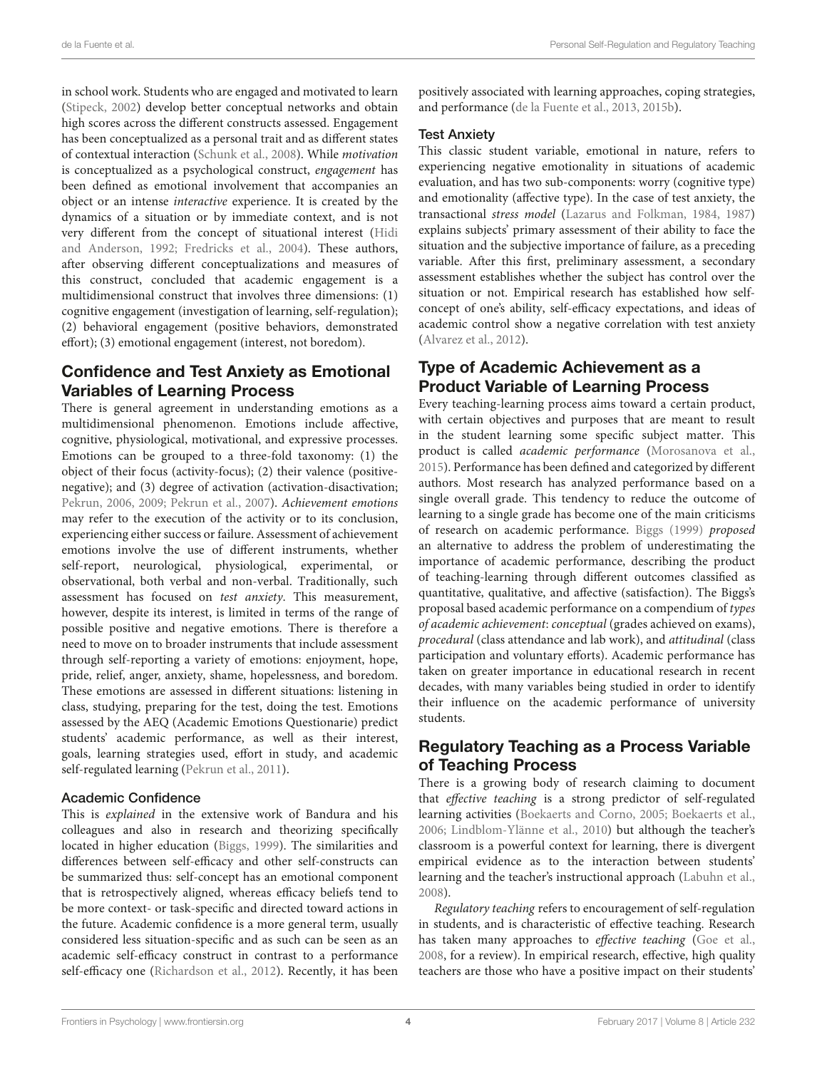in school work. Students who are engaged and motivated to learn [\(Stipeck, 2002\)](#page-18-9) develop better conceptual networks and obtain high scores across the different constructs assessed. Engagement has been conceptualized as a personal trait and as different states of contextual interaction [\(Schunk et al., 2008\)](#page-18-10). While motivation is conceptualized as a psychological construct, engagement has been defined as emotional involvement that accompanies an object or an intense interactive experience. It is created by the dynamics of a situation or by immediate context, and is not very different from the concept of situational interest (Hidi and Anderson, [1992;](#page-17-10) [Fredricks et al., 2004\)](#page-17-11). These authors, after observing different conceptualizations and measures of this construct, concluded that academic engagement is a multidimensional construct that involves three dimensions: (1) cognitive engagement (investigation of learning, self-regulation); (2) behavioral engagement (positive behaviors, demonstrated effort); (3) emotional engagement (interest, not boredom).

### Confidence and Test Anxiety as Emotional Variables of Learning Process

There is general agreement in understanding emotions as a multidimensional phenomenon. Emotions include affective, cognitive, physiological, motivational, and expressive processes. Emotions can be grouped to a three-fold taxonomy: (1) the object of their focus (activity-focus); (2) their valence (positivenegative); and (3) degree of activation (activation-disactivation; [Pekrun, 2006,](#page-17-12) [2009;](#page-17-13) [Pekrun et al., 2007\)](#page-17-14). Achievement emotions may refer to the execution of the activity or to its conclusion, experiencing either success or failure. Assessment of achievement emotions involve the use of different instruments, whether self-report, neurological, physiological, experimental, or observational, both verbal and non-verbal. Traditionally, such assessment has focused on test anxiety. This measurement, however, despite its interest, is limited in terms of the range of possible positive and negative emotions. There is therefore a need to move on to broader instruments that include assessment through self-reporting a variety of emotions: enjoyment, hope, pride, relief, anger, anxiety, shame, hopelessness, and boredom. These emotions are assessed in different situations: listening in class, studying, preparing for the test, doing the test. Emotions assessed by the AEQ (Academic Emotions Questionarie) predict students' academic performance, as well as their interest, goals, learning strategies used, effort in study, and academic self-regulated learning [\(Pekrun et al., 2011\)](#page-17-15).

#### Academic Confidence

This is explained in the extensive work of Bandura and his colleagues and also in research and theorizing specifically located in higher education [\(Biggs, 1999\)](#page-16-4). The similarities and differences between self-efficacy and other self-constructs can be summarized thus: self-concept has an emotional component that is retrospectively aligned, whereas efficacy beliefs tend to be more context- or task-specific and directed toward actions in the future. Academic confidence is a more general term, usually considered less situation-specific and as such can be seen as an academic self-efficacy construct in contrast to a performance self-efficacy one [\(Richardson et al., 2012\)](#page-18-11). Recently, it has been positively associated with learning approaches, coping strategies, and performance [\(de la Fuente et al., 2013,](#page-17-16) [2015b\)](#page-17-17).

#### Test Anxiety

This classic student variable, emotional in nature, refers to experiencing negative emotionality in situations of academic evaluation, and has two sub-components: worry (cognitive type) and emotionality (affective type). In the case of test anxiety, the transactional stress model [\(Lazarus and Folkman, 1984,](#page-17-18) [1987\)](#page-17-19) explains subjects' primary assessment of their ability to face the situation and the subjective importance of failure, as a preceding variable. After this first, preliminary assessment, a secondary assessment establishes whether the subject has control over the situation or not. Empirical research has established how selfconcept of one's ability, self-efficacy expectations, and ideas of academic control show a negative correlation with test anxiety [\(Alvarez et al., 2012\)](#page-16-12).

### Type of Academic Achievement as a Product Variable of Learning Process

Every teaching-learning process aims toward a certain product, with certain objectives and purposes that are meant to result in the student learning some specific subject matter. This product is called academic performance [\(Morosanova et al.,](#page-17-20) [2015\)](#page-17-20). Performance has been defined and categorized by different authors. Most research has analyzed performance based on a single overall grade. This tendency to reduce the outcome of learning to a single grade has become one of the main criticisms of research on academic performance. [Biggs \(1999\)](#page-16-4) proposed an alternative to address the problem of underestimating the importance of academic performance, describing the product of teaching-learning through different outcomes classified as quantitative, qualitative, and affective (satisfaction). The Biggs's proposal based academic performance on a compendium of types of academic achievement: conceptual (grades achieved on exams), procedural (class attendance and lab work), and attitudinal (class participation and voluntary efforts). Academic performance has taken on greater importance in educational research in recent decades, with many variables being studied in order to identify their influence on the academic performance of university students.

### Regulatory Teaching as a Process Variable of Teaching Process

There is a growing body of research claiming to document that effective teaching is a strong predictor of self-regulated learning activities [\(Boekaerts and Corno, 2005;](#page-16-13) [Boekaerts et al.,](#page-16-14) [2006;](#page-16-14) [Lindblom-Ylänne et al., 2010\)](#page-17-21) but although the teacher's classroom is a powerful context for learning, there is divergent empirical evidence as to the interaction between students' learning and the teacher's instructional approach [\(Labuhn et al.,](#page-17-22) [2008\)](#page-17-22).

Regulatory teaching refers to encouragement of self-regulation in students, and is characteristic of effective teaching. Research has taken many approaches to effective teaching [\(Goe et al.,](#page-17-23) [2008,](#page-17-23) for a review). In empirical research, effective, high quality teachers are those who have a positive impact on their students'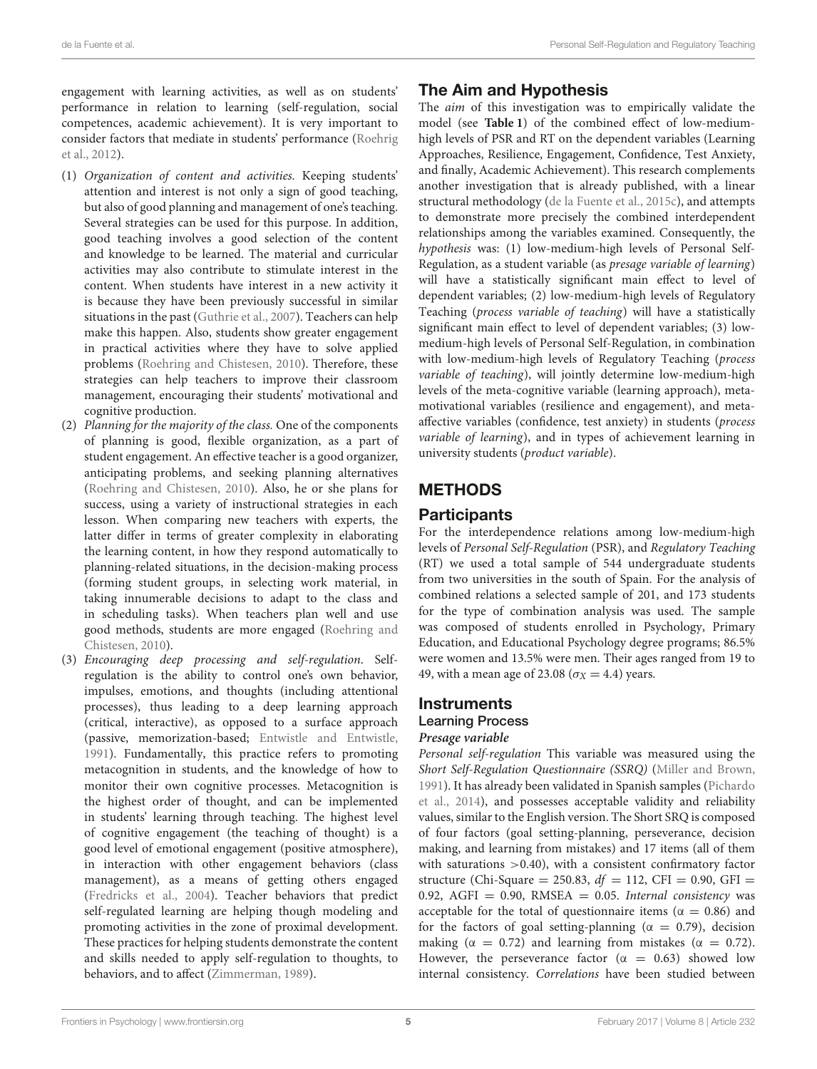engagement with learning activities, as well as on students' performance in relation to learning (self-regulation, social competences, academic achievement). It is very important to consider factors that mediate in students' performance (Roehrig et al., [2012\)](#page-18-12).

- (1) Organization of content and activities. Keeping students' attention and interest is not only a sign of good teaching, but also of good planning and management of one's teaching. Several strategies can be used for this purpose. In addition, good teaching involves a good selection of the content and knowledge to be learned. The material and curricular activities may also contribute to stimulate interest in the content. When students have interest in a new activity it is because they have been previously successful in similar situations in the past [\(Guthrie et al., 2007\)](#page-17-24). Teachers can help make this happen. Also, students show greater engagement in practical activities where they have to solve applied problems [\(Roehring and Chistesen, 2010\)](#page-18-13). Therefore, these strategies can help teachers to improve their classroom management, encouraging their students' motivational and cognitive production.
- (2) Planning for the majority of the class. One of the components of planning is good, flexible organization, as a part of student engagement. An effective teacher is a good organizer, anticipating problems, and seeking planning alternatives [\(Roehring and Chistesen, 2010\)](#page-18-13). Also, he or she plans for success, using a variety of instructional strategies in each lesson. When comparing new teachers with experts, the latter differ in terms of greater complexity in elaborating the learning content, in how they respond automatically to planning-related situations, in the decision-making process (forming student groups, in selecting work material, in taking innumerable decisions to adapt to the class and in scheduling tasks). When teachers plan well and use good methods, students are more engaged (Roehring and Chistesen, [2010\)](#page-18-13).
- (3) Encouraging deep processing and self-regulation. Selfregulation is the ability to control one's own behavior, impulses, emotions, and thoughts (including attentional processes), thus leading to a deep learning approach (critical, interactive), as opposed to a surface approach (passive, memorization-based; [Entwistle and Entwistle,](#page-17-25) [1991\)](#page-17-25). Fundamentally, this practice refers to promoting metacognition in students, and the knowledge of how to monitor their own cognitive processes. Metacognition is the highest order of thought, and can be implemented in students' learning through teaching. The highest level of cognitive engagement (the teaching of thought) is a good level of emotional engagement (positive atmosphere), in interaction with other engagement behaviors (class management), as a means of getting others engaged [\(Fredricks et al., 2004\)](#page-17-11). Teacher behaviors that predict self-regulated learning are helping though modeling and promoting activities in the zone of proximal development. These practices for helping students demonstrate the content and skills needed to apply self-regulation to thoughts, to behaviors, and to affect [\(Zimmerman, 1989\)](#page-18-14).

### The Aim and Hypothesis

The aim of this investigation was to empirically validate the model (see **[Table 1](#page-5-0)**) of the combined effect of low-mediumhigh levels of PSR and RT on the dependent variables (Learning Approaches, Resilience, Engagement, Confidence, Test Anxiety, and finally, Academic Achievement). This research complements another investigation that is already published, with a linear structural methodology [\(de la Fuente et al., 2015c\)](#page-17-26), and attempts to demonstrate more precisely the combined interdependent relationships among the variables examined. Consequently, the hypothesis was: (1) low-medium-high levels of Personal Self-Regulation, as a student variable (as presage variable of learning) will have a statistically significant main effect to level of dependent variables; (2) low-medium-high levels of Regulatory Teaching (process variable of teaching) will have a statistically significant main effect to level of dependent variables; (3) lowmedium-high levels of Personal Self-Regulation, in combination with low-medium-high levels of Regulatory Teaching (process variable of teaching), will jointly determine low-medium-high levels of the meta-cognitive variable (learning approach), metamotivational variables (resilience and engagement), and metaaffective variables (confidence, test anxiety) in students (process variable of learning), and in types of achievement learning in university students (product variable).

### **METHODS**

### **Participants**

For the interdependence relations among low-medium-high levels of Personal Self-Regulation (PSR), and Regulatory Teaching (RT) we used a total sample of 544 undergraduate students from two universities in the south of Spain. For the analysis of combined relations a selected sample of 201, and 173 students for the type of combination analysis was used. The sample was composed of students enrolled in Psychology, Primary Education, and Educational Psychology degree programs; 86.5% were women and 13.5% were men. Their ages ranged from 19 to 49, with a mean age of 23.08 ( $\sigma_X$  = 4.4) years.

### **Instruments** Learning Process **Presage variable**

Personal self-regulation This variable was measured using the Short Self-Regulation Questionnaire (SSRQ) [\(Miller and Brown,](#page-17-27) [1991\)](#page-17-27). It has already been validated in Spanish samples (Pichardo et al., [2014\)](#page-18-15), and possesses acceptable validity and reliability values, similar to the English version. The Short SRQ is composed of four factors (goal setting-planning, perseverance, decision making, and learning from mistakes) and 17 items (all of them with saturations  $>0.40$ ), with a consistent confirmatory factor structure (Chi-Square = 250.83,  $df = 112$ , CFI = 0.90, GFI = 0.92, AGFI = 0.90, RMSEA = 0.05. Internal consistency was acceptable for the total of questionnaire items ( $\alpha = 0.86$ ) and for the factors of goal setting-planning ( $\alpha = 0.79$ ), decision making ( $\alpha = 0.72$ ) and learning from mistakes ( $\alpha = 0.72$ ). However, the perseverance factor ( $\alpha = 0.63$ ) showed low internal consistency. Correlations have been studied between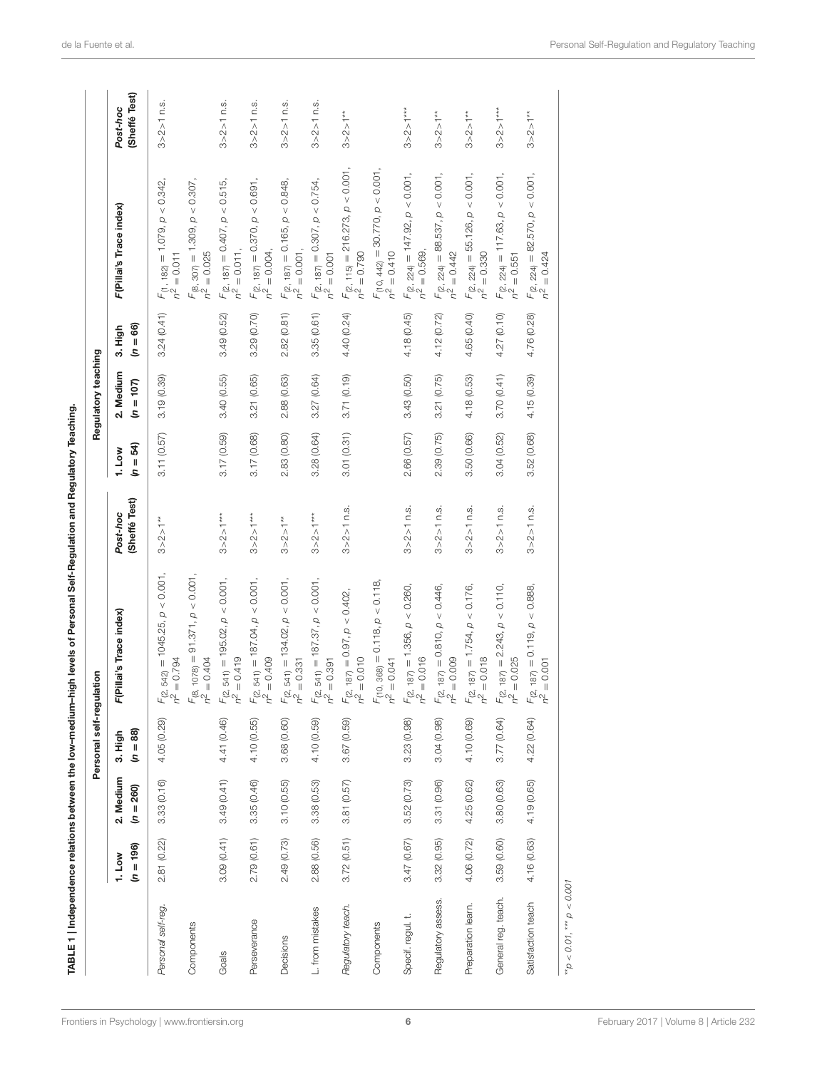|                     |                       |                          | Personal self-regulation |                                                         |                          |                        | Regulatory teaching      |                       |                                                           |                           |
|---------------------|-----------------------|--------------------------|--------------------------|---------------------------------------------------------|--------------------------|------------------------|--------------------------|-----------------------|-----------------------------------------------------------|---------------------------|
|                     | $(n = 196)$<br>1. Low | 2. Medium<br>$(n = 260)$ | $= 88$<br>3. High<br>s   | F(Pillai's Trace index)                                 | Sheffé Test)<br>Post-hoc | $(n = 54)$<br>$1.$ Low | 2. Medium<br>$(n = 107)$ | $(n = 66)$<br>3. High | F(Pillai's Trace index)                                   | (Sheffé Test)<br>Post-hoc |
| Personal self-reg.  | 2.81 (0.22)           | 3.33(0.16)               | 4.05 (0.29)              | $F_{(2, 542)} = 1045.25, p < 0.001,$<br>$n^2 = 0.794$   | $3 > 2 > 1**$            | 3.11 (0.57)            | 3.19 (0.39)              | 3.24(0.41)            | $F_{(1, 182)} = 1.079, p < 0.342,$<br>$n^2 = 0.011$       | 3 > 2 > 1 n.s.            |
| Components          |                       |                          |                          | $F_{(8, 1078)} = 91.371, p < 0.001,$<br>$n^2 = 0.404$   |                          |                        |                          |                       | $F_{(8, 307)} = 1.309, p < 0.307,$<br>$n^2 = 0.025$       |                           |
| Goals               | 3.09(0.41)            | 3.49(0.41)               | 4.41 (0.46)              | $F_{(2, 541)} = 195.02, p < 0.001,$<br>$n^2 = 0.419$    | $3 > 2 > 1***$           | 3.17(0.59)             | 3.40 (0.55)              | 3.49 (0.52)           | $F_{(2, 187)} = 0.407$ , $p < 0.515$ ,<br>$n^2 = 0.011$ , | $3 > 2 > 1$ n.s.          |
| Perseverance        | 2.79(0.61)            | 3.35(0.46)               | 4.10 (0.55)              | $F_{(2, 541)} = 187.04, p < 0.001,$<br>$n^2 = 0.409$    | $3 > 2 > 1***$           | 3.17 (0.68)            | 3.21(0.65)               | 3.29(0.70)            | $F_{(2, 187)} = 0.370, p < 0.691,$<br>$n^2 = 0.004,$      | $3 > 2 > 1$ n.s.          |
| Decisions           | 2.49 (0.73)           | 3.10(0.55)               | 3.68 (0.60)              | $F_{(2, 541)} = 134.02, p < 0.001,$<br>$n^2 = 0.331$    | $3 > 2 > 1**$            | 2.83 (0.80)            | 2.88 (0.63)              | 2.82(0.81)            | $F_{(2, 187)} = 0.165, p < 0.848,$<br>$n^2 = 0.001,$      | 3 > 2 > 1 n.s.            |
| L. from mistakes    | 2.88(0.56)            | 3.38(0.53)               | 4.10 (0.59)              | $F_{(2, 541)} = 187.37, p < 0.001,$<br>$n^2 = 0.391$    | $3 > 2 > 1***$           | 3.28(0.64)             | 3.27 (0.64)              | 3.35(0.61)            | $F_{(2, 187)} = 0.307$ , $p < 0.754$ ,<br>$n^2 = 0.001$   | $3 > 2 > 1$ n.s.          |
| Regulatory teach.   | 3.72(0.51)            | 3.81 (0.57)              | 3.67 (0.59)              | $F_{(2, 187)} = 0.97$ , $p < 0.402$ ,<br>$n^2 = 0.010$  | $3 > 2 > 1$ n.s.         | 3.01 (0.31)            | 3.71(0.19)               | 4.40 (0.24)           | $F_{(2, 115)} = 216.273, p < 0.001,$<br>$n^2 = 0.790$     | $3 > 2 > 1**$             |
| Components          |                       |                          |                          | $F_{(10, 368)} = 0.118, p < 0.118,$<br>$n^2 = 0.041$    |                          |                        |                          |                       | $F_{(10, 442)} = 30.770, p < 0.001$ ,<br>$n^2 = 0.410$    |                           |
| Specif. regul. t.   | 3.47(0.67)            | 3.52(0.73)               | 3.23 (0.98)              | $F_{(2, 187)} = 1.356, p < 0.260,$<br>$n^2 = 0.016$     | $3 > 2 > 1$ n.s.         | 2.66 (0.57)            | 3.43(0.50)               | 4.18 (0.45)           | $F_{(2, 224)} = 147.92, p < 0.001,$<br>$n^2 = 0.569,$     | $3 > 2 > 1***$            |
| Regulatory assess.  | 3.32(0.95)            | 3.31 (0.96)              | 3.04 (0.98)              | $F_{(2, 187)} = 0.810, p < 0.446,$<br>$n^2 = 0.009$     | $3 > 2 > 1$ n.s.         | 2.39 (0.75)            | (0.75)<br>3.21           | 4.12 (0.72)           | $F_{(2, 224)} = 88.537$ , $p < 0.001$ ,<br>$n^2 = 0.442$  | $3 > 2 > 1***$            |
| Preparation learn.  | 4.06 (0.72)           | 4.25 (0.62)              | 4.10 (0.69)              | $F_{(2, 187)} = 1.754, p < 0.176,$<br>$n^2 = 0.018$     | $3 > 2 > 1$ n.s.         | 3.50 (0.66)            | 4.18 (0.53)              | 4.65 (0.40)           | $F_{(2, 224)} = 55.126, p < 0.001,$<br>$n^2 = 0.330$      | $3 > 2 > 1**$             |
| General reg. teach. | 3.59(0.60)            | 3.80(0.63)               | 3.77 (0.64)              | $F_{(2, 187)} = 2.243, p < 0.110,$<br>$n^2 = 0.025$     | $3 > 2 > 1$ n.s.         | 3.04 (0.52)            | 3.70(0.41)               | 4.27 (0.10)           | $F_{(2, 224)} = 117.63, p < 0.001,$<br>$n^2 = 0.551$      | $3 > 2 > 1***$            |
| Satisfaction teach  | 4.16 (0.63)           | 4.19 (0.65)              | 4.22 (0.64)              | $F_{(2, 187)} = 0.119$ , $p < 0.888$ ,<br>$n^2 = 0.001$ | $3 > 2 > 1$ n.s.         | 3.52 (0.68)            | 4.15 (0.39)              | 4.76 (0.28)           | $F_{(2, 224)} = 82.570, p < 0.001,$<br>$n^2 = 0.424$      | $3 > 2 > 1**$             |

TABLE 1 | Independence relations between the low-medium-high levels of Personal Self-Regulation and Regulatory Teaching.

<span id="page-5-0"></span> $^{**}\!p < 0.01,$   $^{***}\!p < 0.001$  $^{**}p < 0.01, ^{***}p < 0.001$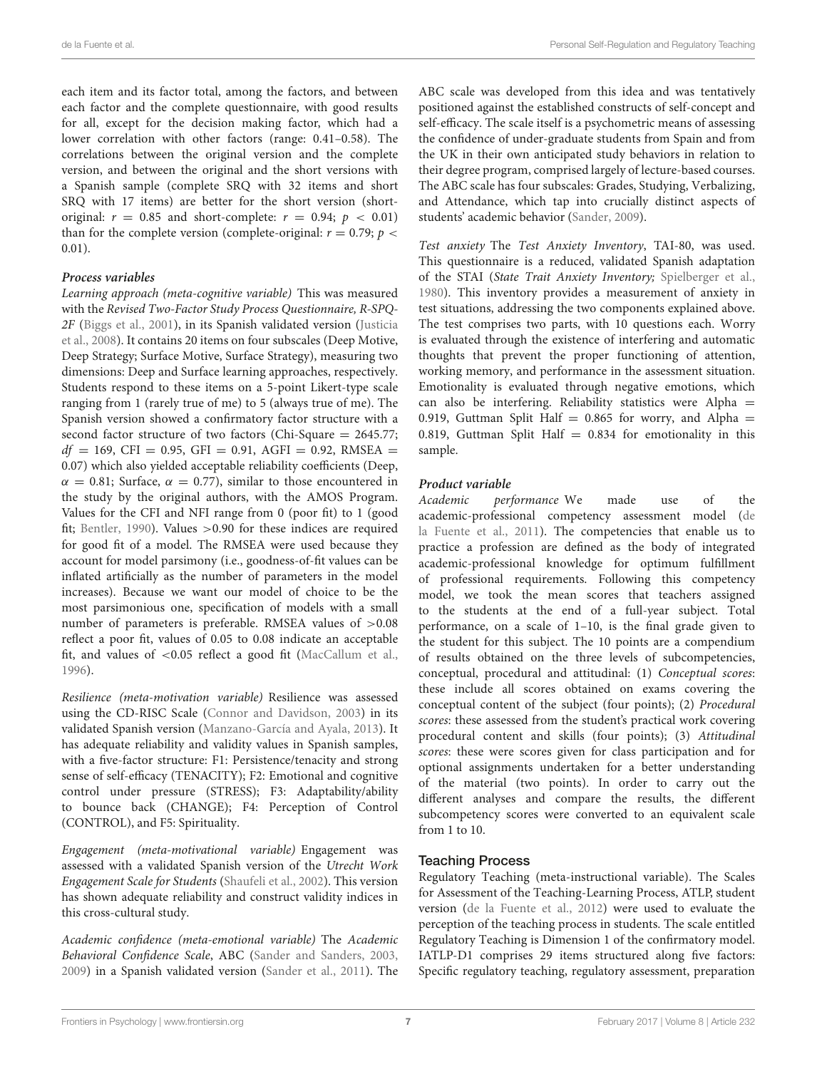each item and its factor total, among the factors, and between each factor and the complete questionnaire, with good results for all, except for the decision making factor, which had a lower correlation with other factors (range: 0.41–0.58). The correlations between the original version and the complete version, and between the original and the short versions with a Spanish sample (complete SRQ with 32 items and short SRQ with 17 items) are better for the short version (shortoriginal:  $r = 0.85$  and short-complete:  $r = 0.94$ ;  $p < 0.01$ ) than for the complete version (complete-original:  $r = 0.79$ ;  $p <$ 0.01).

#### **Process variables**

Learning approach (meta-cognitive variable) This was measured with the Revised Two-Factor Study Process Questionnaire, R-SPQ-2F [\(Biggs et al., 2001\)](#page-16-15), in its Spanish validated version (Justicia et al., [2008\)](#page-17-28). It contains 20 items on four subscales (Deep Motive, Deep Strategy; Surface Motive, Surface Strategy), measuring two dimensions: Deep and Surface learning approaches, respectively. Students respond to these items on a 5-point Likert-type scale ranging from 1 (rarely true of me) to 5 (always true of me). The Spanish version showed a confirmatory factor structure with a second factor structure of two factors (Chi-Square = 2645.77;  $df = 169$ , CFI = 0.95, GFI = 0.91, AGFI = 0.92, RMSEA = 0.07) which also yielded acceptable reliability coefficients (Deep,  $\alpha = 0.81$ ; Surface,  $\alpha = 0.77$ ), similar to those encountered in the study by the original authors, with the AMOS Program. Values for the CFI and NFI range from 0 (poor fit) to 1 (good fit; [Bentler, 1990\)](#page-16-16). Values >0.90 for these indices are required for good fit of a model. The RMSEA were used because they account for model parsimony (i.e., goodness-of-fit values can be inflated artificially as the number of parameters in the model increases). Because we want our model of choice to be the most parsimonious one, specification of models with a small number of parameters is preferable. RMSEA values of  $>0.08$ reflect a poor fit, values of 0.05 to 0.08 indicate an acceptable fit, and values of <0.05 reflect a good fit [\(MacCallum et al.,](#page-17-29) [1996\)](#page-17-29).

Resilience (meta-motivation variable) Resilience was assessed using the CD-RISC Scale [\(Connor and Davidson, 2003\)](#page-16-17) in its validated Spanish version [\(Manzano-García and Ayala, 2013\)](#page-17-30). It has adequate reliability and validity values in Spanish samples, with a five-factor structure: F1: Persistence/tenacity and strong sense of self-efficacy (TENACITY); F2: Emotional and cognitive control under pressure (STRESS); F3: Adaptability/ability to bounce back (CHANGE); F4: Perception of Control (CONTROL), and F5: Spirituality.

Engagement (meta-motivational variable) Engagement was assessed with a validated Spanish version of the Utrecht Work Engagement Scale for Students [\(Shaufeli et al., 2002\)](#page-18-16). This version has shown adequate reliability and construct validity indices in this cross-cultural study.

Academic confidence (meta-emotional variable) The Academic Behavioral Confidence Scale, ABC [\(Sander and Sanders, 2003,](#page-18-17) [2009\)](#page-18-18) in a Spanish validated version [\(Sander et al., 2011\)](#page-18-19). The ABC scale was developed from this idea and was tentatively positioned against the established constructs of self-concept and self-efficacy. The scale itself is a psychometric means of assessing the confidence of under-graduate students from Spain and from the UK in their own anticipated study behaviors in relation to their degree program, comprised largely of lecture-based courses. The ABC scale has four subscales: Grades, Studying, Verbalizing, and Attendance, which tap into crucially distinct aspects of students' academic behavior [\(Sander, 2009\)](#page-18-20).

Test anxiety The Test Anxiety Inventory, TAI-80, was used. This questionnaire is a reduced, validated Spanish adaptation of the STAI (State Trait Anxiety Inventory; [Spielberger et al.,](#page-18-21) [1980\)](#page-18-21). This inventory provides a measurement of anxiety in test situations, addressing the two components explained above. The test comprises two parts, with 10 questions each. Worry is evaluated through the existence of interfering and automatic thoughts that prevent the proper functioning of attention, working memory, and performance in the assessment situation. Emotionality is evaluated through negative emotions, which can also be interfering. Reliability statistics were Alpha  $=$ 0.919, Guttman Split Half =  $0.865$  for worry, and Alpha = 0.819, Guttman Split Half  $= 0.834$  for emotionality in this sample.

#### **Product variable**

Academic performance We made use of the academic-professional competency assessment model (de la Fuente et al., [2011\)](#page-16-18). The competencies that enable us to practice a profession are defined as the body of integrated academic-professional knowledge for optimum fulfillment of professional requirements. Following this competency model, we took the mean scores that teachers assigned to the students at the end of a full-year subject. Total performance, on a scale of 1–10, is the final grade given to the student for this subject. The 10 points are a compendium of results obtained on the three levels of subcompetencies, conceptual, procedural and attitudinal: (1) Conceptual scores: these include all scores obtained on exams covering the conceptual content of the subject (four points); (2) Procedural scores: these assessed from the student's practical work covering procedural content and skills (four points); (3) Attitudinal scores: these were scores given for class participation and for optional assignments undertaken for a better understanding of the material (two points). In order to carry out the different analyses and compare the results, the different subcompetency scores were converted to an equivalent scale from 1 to 10.

### Teaching Process

Regulatory Teaching (meta-instructional variable). The Scales for Assessment of the Teaching-Learning Process, ATLP, student version [\(de la Fuente et al., 2012\)](#page-17-31) were used to evaluate the perception of the teaching process in students. The scale entitled Regulatory Teaching is Dimension 1 of the confirmatory model. IATLP-D1 comprises 29 items structured along five factors: Specific regulatory teaching, regulatory assessment, preparation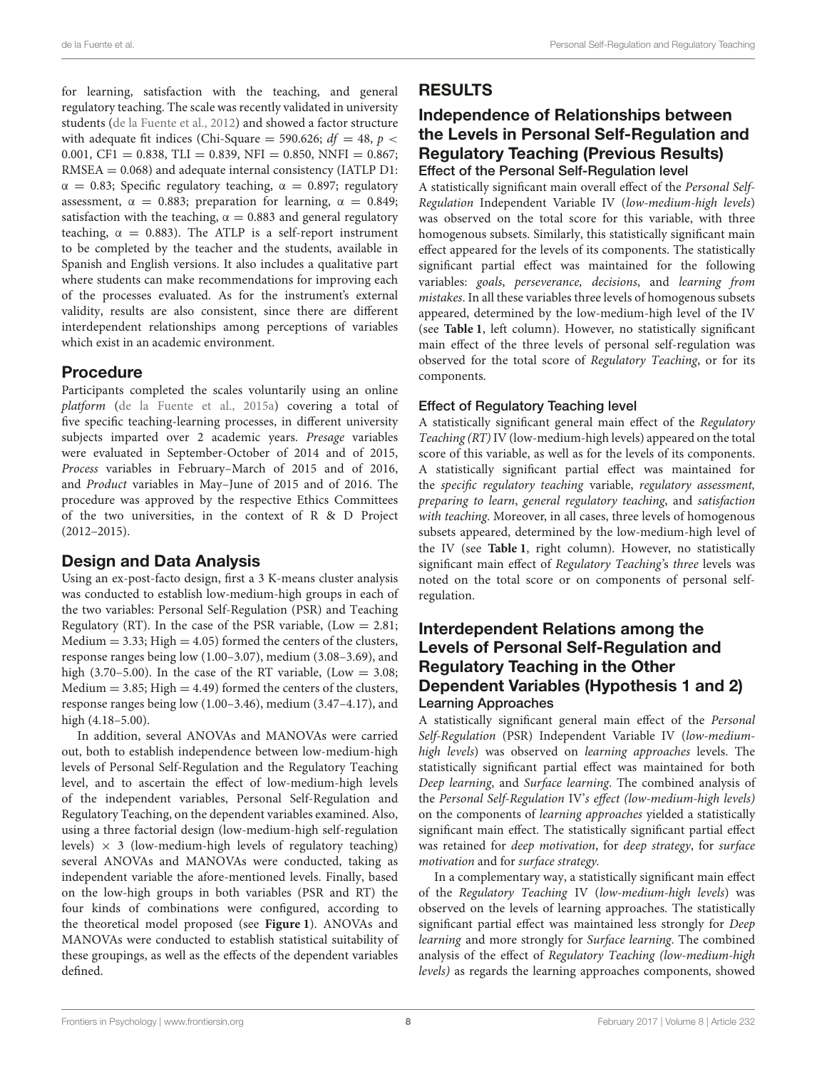for learning, satisfaction with the teaching, and general regulatory teaching. The scale was recently validated in university students [\(de la Fuente et al., 2012\)](#page-17-31) and showed a factor structure with adequate fit indices (Chi-Square = 590.626;  $df = 48$ ,  $p <$ 0.001, CF1 = 0.838, TLI = 0.839, NFI = 0.850, NNFI = 0.867; RMSEA = 0.068) and adequate internal consistency (IATLP D1:  $\alpha = 0.83$ ; Specific regulatory teaching,  $\alpha = 0.897$ ; regulatory assessment,  $\alpha = 0.883$ ; preparation for learning,  $\alpha = 0.849$ ; satisfaction with the teaching,  $\alpha = 0.883$  and general regulatory teaching,  $\alpha = 0.883$ ). The ATLP is a self-report instrument to be completed by the teacher and the students, available in Spanish and English versions. It also includes a qualitative part where students can make recommendations for improving each of the processes evaluated. As for the instrument's external validity, results are also consistent, since there are different interdependent relationships among perceptions of variables which exist in an academic environment.

### Procedure

Participants completed the scales voluntarily using an online platform [\(de la Fuente et al., 2015a\)](#page-16-19) covering a total of five specific teaching-learning processes, in different university subjects imparted over 2 academic years. Presage variables were evaluated in September-October of 2014 and of 2015, Process variables in February–March of 2015 and of 2016, and Product variables in May–June of 2015 and of 2016. The procedure was approved by the respective Ethics Committees of the two universities, in the context of R & D Project (2012–2015).

### Design and Data Analysis

Using an ex-post-facto design, first a 3 K-means cluster analysis was conducted to establish low-medium-high groups in each of the two variables: Personal Self-Regulation (PSR) and Teaching Regulatory (RT). In the case of the PSR variable, (Low  $= 2.81$ ; Medium  $= 3.33$ ; High  $= 4.05$ ) formed the centers of the clusters, response ranges being low (1.00–3.07), medium (3.08–3.69), and high (3.70–5.00). In the case of the RT variable, (Low  $=$  3.08; Medium  $= 3.85$ ; High  $= 4.49$ ) formed the centers of the clusters, response ranges being low (1.00–3.46), medium (3.47–4.17), and high (4.18–5.00).

In addition, several ANOVAs and MANOVAs were carried out, both to establish independence between low-medium-high levels of Personal Self-Regulation and the Regulatory Teaching level, and to ascertain the effect of low-medium-high levels of the independent variables, Personal Self-Regulation and Regulatory Teaching, on the dependent variables examined. Also, using a three factorial design (low-medium-high self-regulation levels)  $\times$  3 (low-medium-high levels of regulatory teaching) several ANOVAs and MANOVAs were conducted, taking as independent variable the afore-mentioned levels. Finally, based on the low-high groups in both variables (PSR and RT) the four kinds of combinations were configured, according to the theoretical model proposed (see **[Figure 1](#page-1-0)**). ANOVAs and MANOVAs were conducted to establish statistical suitability of these groupings, as well as the effects of the dependent variables defined.

### RESULTS

### Independence of Relationships between the Levels in Personal Self-Regulation and Regulatory Teaching (Previous Results) Effect of the Personal Self-Regulation level

A statistically significant main overall effect of the Personal Self-Regulation Independent Variable IV (low-medium-high levels) was observed on the total score for this variable, with three homogenous subsets. Similarly, this statistically significant main effect appeared for the levels of its components. The statistically significant partial effect was maintained for the following variables: goals, perseverance, decisions, and learning from mistakes. In all these variables three levels of homogenous subsets appeared, determined by the low-medium-high level of the IV (see **[Table 1](#page-5-0)**, left column). However, no statistically significant main effect of the three levels of personal self-regulation was observed for the total score of Regulatory Teaching, or for its components.

### Effect of Regulatory Teaching level

A statistically significant general main effect of the Regulatory Teaching (RT) IV (low-medium-high levels) appeared on the total score of this variable, as well as for the levels of its components. A statistically significant partial effect was maintained for the specific regulatory teaching variable, regulatory assessment, preparing to learn, general regulatory teaching, and satisfaction with teaching. Moreover, in all cases, three levels of homogenous subsets appeared, determined by the low-medium-high level of the IV (see **[Table 1](#page-5-0)**, right column). However, no statistically significant main effect of Regulatory Teaching's three levels was noted on the total score or on components of personal selfregulation.

### Interdependent Relations among the Levels of Personal Self-Regulation and Regulatory Teaching in the Other Dependent Variables (Hypothesis 1 and 2) Learning Approaches

A statistically significant general main effect of the Personal Self-Regulation (PSR) Independent Variable IV (low-mediumhigh levels) was observed on learning approaches levels. The statistically significant partial effect was maintained for both Deep learning, and Surface learning. The combined analysis of the Personal Self-Regulation IV's effect (low-medium-high levels) on the components of learning approaches yielded a statistically significant main effect. The statistically significant partial effect was retained for deep motivation, for deep strategy, for surface motivation and for surface strategy.

In a complementary way, a statistically significant main effect of the Regulatory Teaching IV (low-medium-high levels) was observed on the levels of learning approaches. The statistically significant partial effect was maintained less strongly for Deep learning and more strongly for Surface learning. The combined analysis of the effect of Regulatory Teaching (low-medium-high levels) as regards the learning approaches components, showed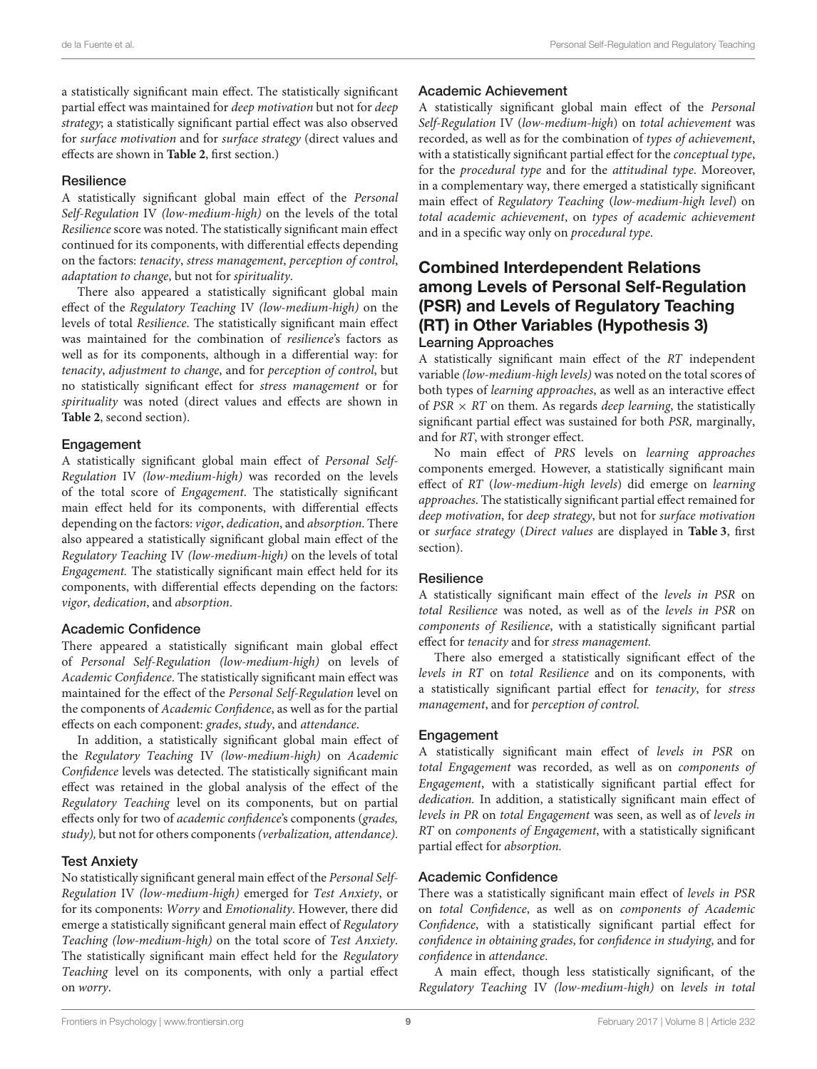a statistically significant main effect. The statistically significant partial effect was maintained for deep motivation but not for deep strategy; a statistically significant partial effect was also observed for surface motivation and for surface strategy (direct values and effects are shown in **[Table 2](#page-9-0)**, first section.)

#### **Resilience**

A statistically significant global main effect of the Personal Self-Regulation IV (low-medium-high) on the levels of the total Resilience score was noted. The statistically significant main effect continued for its components, with differential effects depending on the factors: tenacity, stress management, perception of control, adaptation to change, but not for spirituality.

There also appeared a statistically significant global main effect of the Regulatory Teaching IV (low-medium-high) on the levels of total Resilience. The statistically significant main effect was maintained for the combination of resilience's factors as well as for its components, although in a differential way: for tenacity, adjustment to change, and for perception of control, but no statistically significant effect for stress management or for spirituality was noted (direct values and effects are shown in **[Table 2](#page-9-0)**, second section).

#### Engagement

A statistically significant global main effect of Personal Self-Regulation IV (low-medium-high) was recorded on the levels of the total score of Engagement. The statistically significant main effect held for its components, with differential effects depending on the factors: vigor, dedication, and absorption. There also appeared a statistically significant global main effect of the Regulatory Teaching IV (low-medium-high) on the levels of total Engagement. The statistically significant main effect held for its components, with differential effects depending on the factors: vigor, dedication, and absorption.

### Academic Confidence

There appeared a statistically significant main global effect of Personal Self-Regulation (low-medium-high) on levels of Academic Confidence. The statistically significant main effect was maintained for the effect of the Personal Self-Regulation level on the components of Academic Confidence, as well as for the partial effects on each component: grades, study, and attendance.

In addition, a statistically significant global main effect of the Regulatory Teaching IV (low-medium-high) on Academic Confidence levels was detected. The statistically significant main effect was retained in the global analysis of the effect of the Regulatory Teaching level on its components, but on partial effects only for two of academic confidence's components (grades, study), but not for others components(verbalization, attendance).

#### Test Anxiety

No statistically significant general main effect of the Personal Self-Regulation IV (low-medium-high) emerged for Test Anxiety, or for its components: Worry and Emotionality. However, there did emerge a statistically significant general main effect of Regulatory Teaching (low-medium-high) on the total score of Test Anxiety. The statistically significant main effect held for the Regulatory Teaching level on its components, with only a partial effect on worry.

#### Academic Achievement

A statistically significant global main effect of the Personal Self-Regulation IV (low-medium-high) on total achievement was recorded, as well as for the combination of types of achievement, with a statistically significant partial effect for the conceptual type, for the procedural type and for the attitudinal type. Moreover, in a complementary way, there emerged a statistically significant main effect of Regulatory Teaching (low-medium-high level) on total academic achievement, on types of academic achievement and in a specific way only on procedural type.

### Combined Interdependent Relations among Levels of Personal Self-Regulation (PSR) and Levels of Regulatory Teaching (RT) in Other Variables (Hypothesis 3) Learning Approaches

A statistically significant main effect of the RT independent variable (low-medium-high levels) was noted on the total scores of both types of learning approaches, as well as an interactive effect of  $PSR \times RT$  on them. As regards *deep learning*, the statistically significant partial effect was sustained for both PSR, marginally, and for RT, with stronger effect.

No main effect of PRS levels on learning approaches components emerged. However, a statistically significant main effect of RT (low-medium-high levels) did emerge on learning approaches. The statistically significant partial effect remained for deep motivation, for deep strategy, but not for surface motivation or surface strategy (Direct values are displayed in **[Table 3](#page-11-0)**, first section).

### **Resilience**

A statistically significant main effect of the levels in PSR on total Resilience was noted, as well as of the levels in PSR on components of Resilience, with a statistically significant partial effect for tenacity and for stress management.

There also emerged a statistically significant effect of the levels in RT on total Resilience and on its components, with a statistically significant partial effect for tenacity, for stress management, and for perception of control.

### **Engagement**

A statistically significant main effect of levels in PSR on total Engagement was recorded, as well as on components of Engagement, with a statistically significant partial effect for dedication. In addition, a statistically significant main effect of levels in PR on total Engagement was seen, as well as of levels in RT on components of Engagement, with a statistically significant partial effect for absorption.

### Academic Confidence

There was a statistically significant main effect of levels in PSR on total Confidence, as well as on components of Academic Confidence, with a statistically significant partial effect for confidence in obtaining grades, for confidence in studying, and for confidence in attendance.

A main effect, though less statistically significant, of the Regulatory Teaching IV (low-medium-high) on levels in total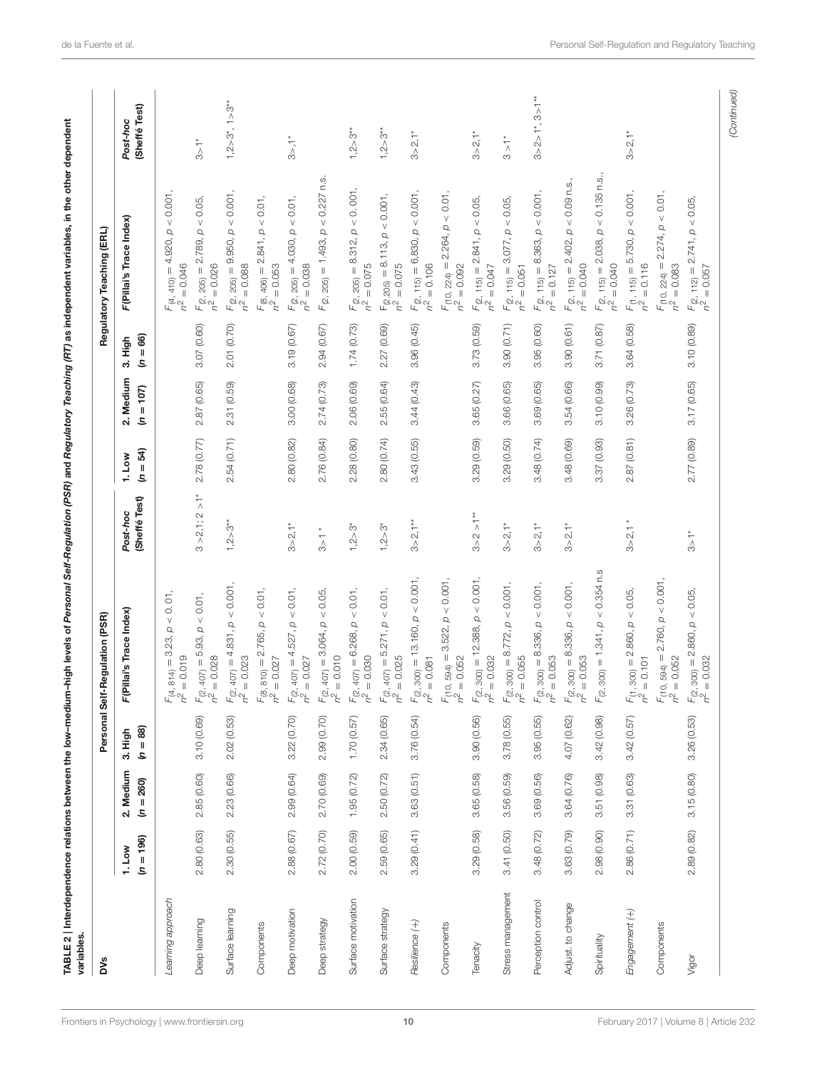| <b>DVS</b>         |                       |                          |                       | Personal Self-Regulation (PSR)                                         |                           |                       |                           |                        | Regulatory Teaching (ERL)                                                  |                                                  |
|--------------------|-----------------------|--------------------------|-----------------------|------------------------------------------------------------------------|---------------------------|-----------------------|---------------------------|------------------------|----------------------------------------------------------------------------|--------------------------------------------------|
|                    | $(n = 196)$<br>1. Low | 2. Medium<br>$(n = 260)$ | $(n = 88)$<br>3. High | F(Pillai's Trace Index)                                                | (Sheffé Test)<br>Post-hoc | $= 54$<br>1. Low<br>S | 2. Medium<br>$= 107$<br>S | $= 66$<br>3. High<br>S | F(Pillai's Trace Index)                                                    | (Sheffé Test)<br>Post-hoc                        |
| Learning approach  |                       |                          |                       | $< 0.01$ ,<br>$F_{(4, 814)} = 3.23, p$<br>$n^2 = 0.019$<br>$= 0.019$   |                           |                       |                           |                        | $< 0.001$ ,<br>$F_{(4,410)} = 4.920, p$<br>$= 0.046$<br>n <sup>2</sup>     |                                                  |
| Deep learning      | 2.80 (0.63)           | 2.85(0.60)               | 3.10 (0.69)           | $F_{(2,407)} = 5.93, p < 0.01,$<br>$n^2 = 0.028$<br>$= 0.028$          | $3 > 2, 1; 2 > 1*$        | 2.78 (0.77)           | 2.87(0.65)                | 3.07 (0.60)            | < 0.05,<br>$F_{(2, 205)} = 2.789, p$<br>$n^2 = 0.026$<br>$= 0.026$         | $\frac{1}{3}$                                    |
| Surface learning   | 2.30(0.55)            | 2.23(0.66)               | 2.02(0.53)            | $< 0.001$ ,<br>$F_{(2,407)} = 4.831, p$<br>$n^2 = 0.023$               | $1,2 > 3**$               | 2.54 (0.71)           | 2.31(0.59)                | 2.01 (0.70)            | 0.001,<br>$F_{(2, 205)} = 9.950, p$<br>$= 0.088$<br>$\sim$                 | $1,2 > 3^*$ , $1 > 3^{**}$                       |
| Components         |                       |                          |                       | $F_{(8, 810)} = 2.765, p < 0.01,$<br>$n^2 = 0.027$<br>$= 0.027$        |                           |                       |                           |                        | $F_{(8,406)} = 2.841$ , $p < 0.01$ ,<br>$n^2 = 0.053$<br>$= 0.053$         |                                                  |
| Deep motivation    | 2.88 (0.67)           | 2.99 (0.64)              | 3.22(0.70)            | < 0.01<br>$F_{(2,407)} = 4.527, p$<br>$n^2 = 0.027$                    | $3 > 2, 1*$               | 2.80(0.82)            | 3.00(0.68)                | 3.19(0.67)             | < 0.01<br>$F_{(2, 205)} = 4.030, p$<br>$n^2 = 0.038$<br>$= 0.038$          | $3$ , $\uparrow$                                 |
| Deep strategy      | 2.72(0.70)            | 2.70 (0.69)              | 2.99(0.70)            | $<0.05,$<br>$F_{(2,407)} = 3.064, p$<br>$n^2 = 0.010$                  | $3>1$ *                   | 2.76 (0.84)           | 2.74 (0.73)               | 2.94 (0.67)            | $< 0.227$ n.s.<br>$F_{(2, 205)} = 1.493, p$                                |                                                  |
| Surface motivation | 2.00(0.59)            | 1.95(0.72)               | 1.70(0.57)            | $\leq 0.01$ ,<br>$F_{(2, 407)} = 6.268, p$<br>$n^2 = 0.030$            | $1,2 > 3^*$               | 2.28(0.80)            | 2.06 (0.69)               | 1.74(0.73)             | $F_{(2, 205)} = 8.312, p < 0.001,$<br>$n^2 = 0.075$<br>$= 0.075$           | $1,2 > 3**$                                      |
| Surface strategy   | 2.59(0.65)            | 2.50 (0.72)              | 2.34(0.65)            | $F_{(2,407)} = 5.271, p < 0.01,$<br>$n^2 = 0.025$                      | $1,2 > 3^*$               | 2.80(0.74)            | 2.55(0.64)                | 2.27 (0.69)            | $F_{(2.205)} = 8.113, p < 0.001,$<br>$n^2 = 0.075$                         | $1,2 > 3$ <sup>*</sup>                           |
| Resilience (+)     | 3.29(0.41)            | 3.63(0.51)               | 3.76(0.54)            | $F_{(2, 300)} = 13.160, p < 0.001$<br>$n^2 = 0.081$                    | $3 > 2, 1***$             | 3.43(0.55)            | 3.44(0.43)                | 3.96(0.45)             | 0.001<br>$F_{(2, 115)} = 6,830, p$<br>$n^2 = 0.106$<br>$= 0.106$           | $3 > 2, 1*$                                      |
| Components         |                       |                          |                       | $F_{(10, 594)} = 3.522$ , $p < 0.001$ ,<br>$n^2 = 0.052$               |                           |                       |                           |                        | 2.264, p < 0.01,<br>$F(10, 224) =$<br>$n^2 = 0.092$                        |                                                  |
| Tenacity           | 3.29(0.58)            | 3.65(0.58)               | 3.90(0.56)            | $F_{(2, 300)} = 12.388, p < 0.001,$<br>$n^2 = 0.032$                   | $3 > 2 > 1***$            | 3.29(0.59)            | 3.65(0.27)                | 3.73 (0.59)            | $2.841, p < 0.05$ ,<br>$= 0.047$<br>$F(2, 115) = 2$<br>$r^2 = 0.047$       | $3 > 2, 1$ *                                     |
| Stress management  | 3.41 (0.50)           | 3.56 (0.59)              | 3.78(0.55)            | $< 0.001$ ,<br>$F_{(2, 300)} = 8.772, p$<br>$n^2 = 0.055$<br>$= 0.055$ | $3 > 2, 1*$               | 3.29 (0.50)           | 3.66 (0.65)               | 3.90 (0.71)            | < 0.05,<br>$F_{(2, 115)} = 3.077$ , p<br>$n^2 = 0.051$<br>$= 0.051$        | $\stackrel{*}{\underset{\bigwedge}}$<br>S        |
| Perception control | 3.48 (0.72)           | 3.69(0.56)               | 3.95(0.55)            | $F(z, 300) = 8.336, p < 0.001,$<br>$n^2 = 0.053$                       | $3 > 2,1*$                | 3.48 (0.74)           | 3.69(0.65)                | 3.95 (0.60)            | $< 0.001$<br>$F_{(2, 115)} = 8.363, p$<br>$n^2 = 0.127$<br>$= 0.127$       | $3 > 2 > 1$ <sup>*</sup> , $3 > 1$ <sup>**</sup> |
| Adjust. to change  | 3.63(0.79)            | 3.64(0.76)               | 4.07 (0.62)           | $F_{(2,300)} = 8.336, p < 0.001,$<br>$n^2 = 0.053$<br>$= 0.053$        | $3 > 2, 1*$               | 3.48 (0.69)           | 3.54 (0.66)               | 3.90(0.61)             | $F_{(2, 115)} = 2.402$ , $p < 0.09$ n.s.<br>$n^2 = 0.040$<br>$= 0.040$     |                                                  |
| Spirituality       | 2.98 (0.90)           | 3.51 (0.98)              | 3.42 (0.98)           | $< 0.354$ n.s<br>$F_{(2, 300)} = 1.341, p$                             |                           | (0.93)<br>3.37        | 3.10 (0.99)               | 3.71 (0.87)            | $< 0.135$ n.s.,<br>$F_{(2, 115)} = 2.038, p$<br>$n^2 = 0.040$<br>$= 0.040$ |                                                  |
| Engagement (+)     | 2.86 (0.71)           | 3.31 (0.63)              | 3.42(0.57)            | $<0.05,$<br>$F_{(1, 300)} = 2.860, p$<br>$n^2 = 0.101$                 | 3 > 2,1                   | (0.81)<br>2.87        | 3.26 (0.73)               | 3.64 (0.58)            | < 0.001<br>5.730, p<br>$= 0.116$<br>$F_{(1, 115)} = 5$<br>$h^2 = 0.116$    | $3 > 2, 1*$                                      |
| Components         |                       |                          |                       | $F_{(10, 594)} = 2.760, p < 0.001$<br>$n^2 = 0.052$                    |                           |                       |                           |                        | $\rho < 0.01$<br>$F_{(10, 224)} = 2.274,$<br>$= 0.083$<br>$\sim$           |                                                  |
| Vigor              | 2.89 (0.82)           | 3.15(0.80)               | 3.26(0.53)            | $F_{(2, 300)} = 2.860, p < 0.05,$<br>$n^2 = 0.032$<br>$= 0.032$        | $\frac{1}{3}$             | 2.77 (0.89)           | 3.17(0.65)                | 3.10 (0.89)            | $F_{(2, 112)} = 2.741, p < 0.05,$<br>$n^2 = 0.057$<br>$= 0.057$            |                                                  |

<span id="page-9-0"></span>

[Frontiers in Psychology](http://www.frontiersin.org/Psychology)| [www.frontiersin.org](http://www.frontiersin.org) 10 10 10 [February 2017 | Volume 8 | Article 232](http://www.frontiersin.org/Psychology/archive)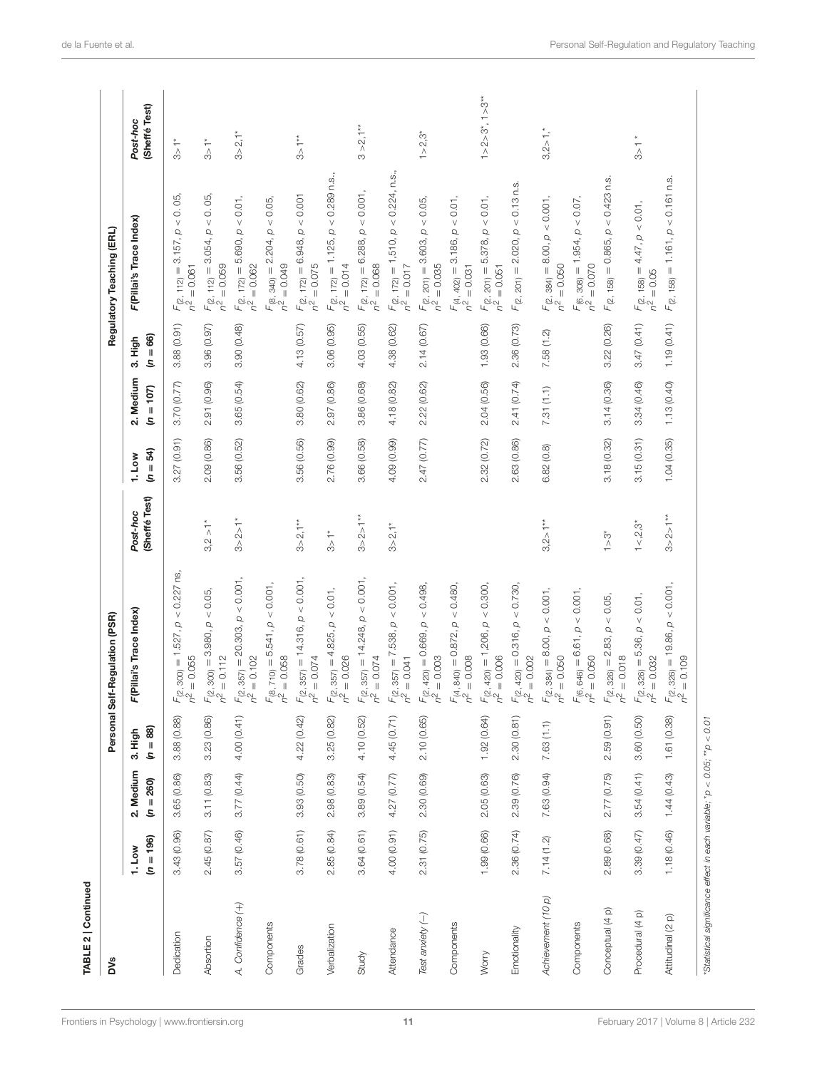| TABLE 2   Continued                                                      |                       |                          |                       |                                                                        |                                       |                     |                          |                        |                                                                        |                                 |
|--------------------------------------------------------------------------|-----------------------|--------------------------|-----------------------|------------------------------------------------------------------------|---------------------------------------|---------------------|--------------------------|------------------------|------------------------------------------------------------------------|---------------------------------|
| <b>DVS</b>                                                               |                       |                          |                       | Personal Self-Regulation (PSR)                                         |                                       |                     |                          |                        | Regulatory Teaching (ERL)                                              |                                 |
|                                                                          | $(n = 196)$<br>1. Low | 2. Medium<br>$(n = 260)$ | $(n = 88)$<br>3. High | F(Pillai's Trace Index)                                                | (Sheffé Test)<br>Post-hoc             | $(n = 54)$<br>1.1ow | 2. Medium<br>$(n = 107)$ | $= 66$<br>3. High<br>S | F(Pillai's Trace Index)                                                | (Sheffé Test)<br>Post-hoc       |
| Dedication                                                               | 3.43 (0.96)           | 3.65 (0.86)              | 3.88 (0.88)           | $F_{(2, 300)} = 1.527$ , $p < 0.227$ ns,<br>$n^2 = 0.055$<br>$= 0.055$ |                                       | (0.91)<br>3.27      | 3.70 (0.77)              | 3.88(0.91)             | 0.05<br>$F_{(2, 112)} = 3.157, p$<br>$= 0.061$                         | $\sum_{i=1}^{n}$                |
| Absortion                                                                | 2.45 (0.87)           | 3.11(0.83)               | 3.23 (0.86)           | $F_{(2, 300)} = 3.980, p < 0.05,$<br>$n^2 = 0.112$                     | $3,2 > 1*$                            | 2.09(0.86)          | 2.91 (0.96)              | 3.96 (0.97)            | < 0.05<br>$F_{(2, 112)} = 3.054, p$<br>$n^2 = 0.059$<br>$= 0.059$      | $\frac{1}{2}$                   |
| A. Confidence (+)                                                        | 3.57(0.46)            | 3.77(0.44)               | 4.00 (0.41)           | $F_{(2, 357)} = 20.303, p < 0.001,$<br>$n^2 = 0.102$                   | $3 > 2 > 1*$                          | 3.56 (0.52)         | 3.65(0.54)               | 3.90 (0.48)            | $<0.01,$<br>$F_{(2, 172)} = 5.690, p$<br>$n^2 = 0.062$<br>$= 0.062$    | $3 > 2, 1$ *                    |
| Components                                                               |                       |                          |                       | $F_{(8, 710)} = 5.541, p < 0.001,$<br>$n^2 = 0.058$                    |                                       |                     |                          |                        | $F_{(8, 340)} = 2.204$ , $p < 0.05$ ,<br>$n^2 = 0.049$                 |                                 |
| Grades                                                                   | 3.78(0.61)            | 3.93 (0.50)              | 4.22 (0.42)           | $F_{(2, 357)} = 14.316, p < 0.001,$<br>$n^2 = 0.074$                   | $3 > 2, 1**$                          | 3.56 (0.56)         | 3.80(0.62)               | 4.13 (0.57)            | $F_{(2, 172)} = 6.948, p < 0.001$<br>$n^2 = 0.075$<br>$= 0.075$        | $3>1**$                         |
| Verbalization                                                            | 2.85(0.84)            | 2.98(0.83)               | 3.25(0.82)            | $F_{(2, 357)} = 4.825, p < 0.01,$<br>$n^2 = 0.026$                     | $\stackrel{*}{\underset{\sim}{\sim}}$ | 2.76 (0.99)         | 2.97 (0.86)              | 3.06 (0.95)            | $F_{(2, 172)} = 1.125$ , $p < 0.289$ n.s.,<br>$n^2 = 0.014$            |                                 |
| Study                                                                    | 3.64(0.61)            | 3.89(0.54)               | 4.10 (0.52)           | $F_{(2, 357)} = 14.248, p < 0.001,$<br>$n^2 = 0.074$                   | $3 > 2 > 1**$                         | 3.66 (0.58)         | 3.86 (0.68)              | 4.03 (0.55)            | < 0.001<br>$F_{(2, 172)} = 6.288, p$<br>$n^2 = 0.068$                  | $3 > 2,1**$                     |
| Attendance                                                               | 4.00(0.91)            | 4.27 (0.77)              | 4.45 (0.71)           | $F_{(2, 357)} = 7.538, p < 0.001,$<br>$n^2 = 0.041$                    | $3 > 2,1*$                            | 4.09 (0.99)         | 4.18 (0.82)              | 4.38 (0.62)            | $F_{(2, 172)} = 1,510, p < 0.224, n.s.,$<br>$n^2 = 0.017$<br>$= 0.017$ |                                 |
| Test anxiety (-)                                                         | 2.31(0.75)            | 2.30 (0.69)              | 2.10(0.65)            | $F_{(2, 420)} = 0.669, p < 0.498,$<br>$n^2 = 0.003$                    |                                       | 2.47 (0.77)         | 2.22(0.62)               | 2.14 (0.67)            | $F_{(2, 201)} = 3.603, p < 0.05,$<br>$n^2 = 0.035$<br>$= 0.035$        | $1 > 2.3*$                      |
| Components                                                               |                       |                          |                       | $F_{(4, 840)} = 0.872, p < 0.480,$<br>$n^2 = 0.008$                    |                                       |                     |                          |                        | $F_{(4, 402)} = 3.186, p < 0.01,$<br>$= 0.031$<br>$n^2$ .              |                                 |
| Worry                                                                    | 1.99 (0.66)           | 2.05(0.63)               | 1.92(0.64)            | $F_{(2, 420)} = 1,206, p < 0.300,$<br>$n^2 = 0.006$                    |                                       | 2.32 (0.72)         | 2.04(0.56)               | 1.93(0.66)             | $F_{(2, 201)} = 5.378, p < 0.01,$<br>$n^2 = 0.051$                     | $1 > 2 > 3^{\circ}, 1 > 3^{**}$ |
| Emotionality                                                             | 2.36 (0.74)           | 2.39 (0.76)              | 2.30(0.81)            | $F_{(2, 420)} = 0.316$ , $p < 0.730$ ,<br>$n^2 = 0.002$                |                                       | 2.63 (0.86)         | 2.41 (0.74)              | 2.36 (0.73)            | $F_{(2, 201)} = 2.020, p < 0.13$ n.s.                                  |                                 |
| Achievement (10 p)                                                       | 7.14(1.2)             | 7.63 (0.94)              | 7.63(1.1)             | $F_{(2, 384)} = 8.00, p < 0.001,$<br>$n^2 = 0.050$                     | $3,2 > 1**$                           | 6.82(0.8)           | 7.31(1.1)                | 7.58(1.2)              | $F_{(2, 384)} = 8.00, p < 0.001,$<br>$n^2 = 0.050$<br>$= 0.050$        | $3,2>1,$ *                      |
| Components                                                               |                       |                          |                       | $F_{(6, 646)} = 6.61, p < 0.001,$<br>$n^2 = 0.050$                     |                                       |                     |                          |                        | $F_{(6, 308)} = 1.954$ , $\rho < 0.07$ , $n^2 = 0.070$                 |                                 |
| Conceptual (4 p)                                                         | 2.89 (0.68)           | 2.77 (0.75)              | 2.59(0.91)            | $F_{(2, 326)} = 2.83, p < 0.05,$<br>$n^2 = 0.018$                      | $\sum_{i=1}^{n}$                      | 3.18(0.32)          | 3.14(0.36)               | 3.22 (0.26)            | $F_{(2, 158)} = 0.865, p < 0.423$ n.s.                                 |                                 |
| Procedural (4 p)                                                         | 3.39(0.47)            | 3.54(0.41)               | 3.60 (0.50)           | $F(z, 326) = 5.36, p < 0.01,$<br>$n^2 = 0.032$<br>$= 0.032$            | $1 < 2.3*$                            | 3.15(0.31)          | 3.34(0.46)               | 3.47(0.41)             | $F_{(2, 158)} = 4.47, p < 0.01,$<br>$n^2 = 0.05$<br>$= 0.05$           | $\frac{1}{3}$                   |
| Attitudinal (2 p)                                                        | 1.18(0.46)            | 1.44(0.43)               | 1.61 (0.38)           | $F_{(2, 326)} = 19.86, p < 0.001,$<br>$n^2 = 0.109$                    | $3 > 2 > 1**$                         | 1.04(0.35)          | 1.13(0.40)               | 1.19(0.41)             | $F_{(2, 158)} = 1.161$ , $\rho < 0.161$ n.s.                           |                                 |
| *Statistical significance effect in each variable; *p < 0.05; **p < 0.01 |                       |                          |                       |                                                                        |                                       |                     |                          |                        |                                                                        |                                 |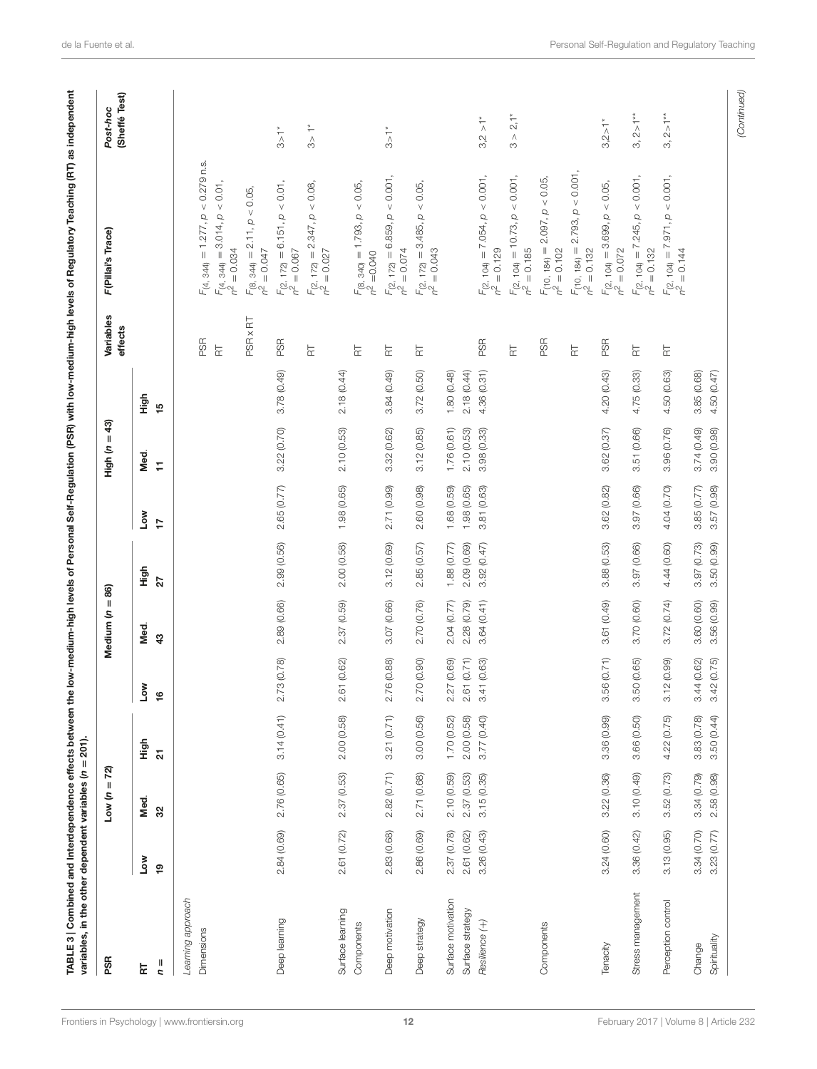| PSR                |                  | ଅ<br>Ш<br>S<br>Low |             |                 | $\sf II$<br>Medium (n              | 86)         |                   | $\overline{3}$<br>$\parallel$<br>High (n |             | Variables<br>effects       | F(Pillai's Trace)                                                  | (Sheffé Test)<br>Post-hoc |
|--------------------|------------------|--------------------|-------------|-----------------|------------------------------------|-------------|-------------------|------------------------------------------|-------------|----------------------------|--------------------------------------------------------------------|---------------------------|
| $\frac{1}{2}$<br>넚 | <b>No7</b><br>စ္ | Med.<br>32         | High<br>ត   | Low<br>9        | Med.<br>$\boldsymbol{\mathcal{L}}$ | High<br>27  | Low<br>$\ddot{ }$ | Med.<br>Ξ                                | High<br>15  |                            |                                                                    |                           |
| Learning approach  |                  |                    |             |                 |                                    |             |                   |                                          |             |                            |                                                                    |                           |
| Dimensions         |                  |                    |             |                 |                                    |             |                   |                                          |             | <b>PSR</b>                 | $F_{(4, 344)} = 1.277$ , $p < 0.279$ n.s.                          |                           |
|                    |                  |                    |             |                 |                                    |             |                   |                                          |             | $\overleftarrow{\text{r}}$ | $F_{(4, 344)} = 3.014, p < 0.01,$<br>$n^2 = 0.034$                 |                           |
|                    |                  |                    |             |                 |                                    |             |                   |                                          |             | PSR x RT                   | $F_{(8, 344)} = 2.11, p < 0.05,$<br>$= 0.047$<br>2 <sub>C</sub>    |                           |
| Deep learning      | 2.84(0.69)       | 2.76 (0.65)        | 3.14(0.41)  | 2.73 (0.78)     | 2.89 (0.66)                        | 2.99 (0.56) | 2.65 (0.77)       | 3.22 (0.70)                              | 3.78 (0.49) | <b>PSR</b>                 | $F_{(2, 172)} = 6.151, p < 0.01,$<br>$= 0.067$<br>$\tilde{c}$      | $\frac{1}{3}$             |
|                    |                  |                    |             |                 |                                    |             |                   |                                          |             | $\overleftarrow{\text{r}}$ | $F_{(2, 172)} = 2.347, p < 0.08$<br>$= 0.027$<br>2 <sub>c</sub>    | $\frac{1}{3}$             |
| Surface learning   | 2.61 (0.72)      | 2.37(0.53)         | 2.00 (0.58) | (0.62)<br>2.6   | 2.37 (0.59)                        | 2.00(0.58)  | 1.98(0.65)        | 2.10(0.53)                               | 2.18 (0.44) |                            |                                                                    |                           |
| Components         |                  |                    |             |                 |                                    |             |                   |                                          |             | $\overleftarrow{\text{r}}$ | $F_{(8, 340)} = 1.793, p < 0.05,$<br>$n^2 = 0.040$                 |                           |
| Deep motivation    | 2.83 (0.68)      | 2.82(0.71)         | 3.21 (0.71) | (0.88)<br>2.76( | 3.07 (0.66)                        | 3.12(0.69)  | 2.71 (0.99)       | 3.32 (0.62)                              | 3.84(0.49)  | $\overleftarrow{\Xi}$      | < 0.001<br>$F_{(2, 172)} = 6.859, p$<br>$n^2 = 0.074$<br>$= 0.074$ | $\frac{1}{3}$             |
| Deep strategy      | 2.86 (0.69)      | 2.71 (0.68)        | 3.00 (0.56) | 2.70 (0.90)     | 2.70 (0.76)                        | 2.85(0.57)  | 2.60 (0.98)       | 3.12(0.85)                               | 3.72(0.50)  | $\overleftarrow{\Xi}$      | $F_{(2, 172)} = 3.485, p < 0.05,$<br>$= 0.043$<br>$h^2$            |                           |
| Surface motivation | 2.37 (0.78)      | 2.10(0.59)         | 1.70 (0.52) | (0.69)<br>2.27  | 2.04(0.77)                         | 1.88 (0.77) | 1.68 (0.59)       | 1.76(0.61)                               | 1.80 (0.48) |                            |                                                                    |                           |
| Surface strategy   | 2.61 (0.62)      | 2.37(0.53)         | 2.00(0.58)  | (0.71)<br>2.61  | 2.28 (0.79)                        | 2.09 (0.69) | 1.98 (0.65)       | 2.10(0.53)                               | 2.18(0.44)  |                            |                                                                    |                           |
| Resilience (+)     | 3.26(0.43)       | 3.15(0.35)         | 3.77 (0.40) | (0.63)<br>3.41  | 3.64(0.41)                         | 3.92(0.47)  | 3.81 (0.63)       | 3.98 (0.33)                              | 4.36 (0.31) | PSR                        | $F_{(2, 104)} = 7.054, p < 0.001$<br>$n^2 = 0.129$                 | $3.2 > 1*$                |
|                    |                  |                    |             |                 |                                    |             |                   |                                          |             | 눈                          | $F_{(2, 104)} = 10.73, p < 0.001$<br>$n^2 = 0.185$<br>$= 0.185$    | $3 > 2,1*$                |
| Components         |                  |                    |             |                 |                                    |             |                   |                                          |             | PSR                        | 2.097, p < 0.05<br>$F_{(10, 184)} =$<br>$n^2 = 0.102$              |                           |
|                    |                  |                    |             |                 |                                    |             |                   |                                          |             | $\overleftarrow{\text{r}}$ | 2.793, p < 0.001<br>$F_{(10, 184)} =$<br>$n^2 = 0.132$             |                           |
| Tenacity           | 3.24(0.60)       | 3.22(0.36)         | 3.36 (0.99) | (0.71)<br>3.56  | 3.61 (0.49)                        | 3.88 (0.53) | 3.62 (0.82)       | 3.62 (0.37)                              | 4.20 (0.43) | PSR                        | $F_{(2, 104)} = 3.699, p < 0.05,$<br>$= 0.072$<br>$\sim$           | $3,2 > 1*$                |
| Stress management  | 3.36 (0.42)      | 3.10(0.49)         | 3.66 (0.50) | 3.50 (0.65)     | 3.70 (0.60)                        | 3.97 (0.66) | 3.97 (0.66)       | 3.51 (0.66)                              | 4.75 (0.33) | $\overline{\mathbf{r}}$    | $< 0.001$ ,<br>$F_{(2, 104)} = 7.245, p$<br>$= 0.132$<br>n<br>C    | $3, 2 > 1**$              |
| Perception control | 3.13(0.95)       | 3.52(0.73)         | 4.22 (0.75) | (0.99)<br>3.12  | 3.72(0.74)                         | 4.44 (0.60) | 4.04 (0.70)       | 3.96 (0.76)                              | 4.50 (0.63) | $\overline{\mathbf{r}}$    | $F$ (2, 104) = 7.971, $p < 0.001$<br>$n^2 = 0.144$<br>$= 0.144$    | $3, 2 > 1**$              |
| Change             | 3.34(0.70)       | 3.34(0.79)         | 3.83 (0.78) | 3.44 (0.62)     | 3.60 (0.60)                        | 3.97 (0.73) | 3.85(0.77)        | 3.74(0.49)                               | 3.85 (0.68) |                            |                                                                    |                           |
| Spirituality       | 3.23(0.77)       | 2.58 (0.98)        | 3.50(0.44)  | 3.42(0.75)      | 3.56 (0.99)                        | 3.50 (0.99) | 3.57(0.98)        | 3.90(0.98)                               | 4.50 (0.47) |                            |                                                                    |                           |

(Continued)

<span id="page-11-0"></span>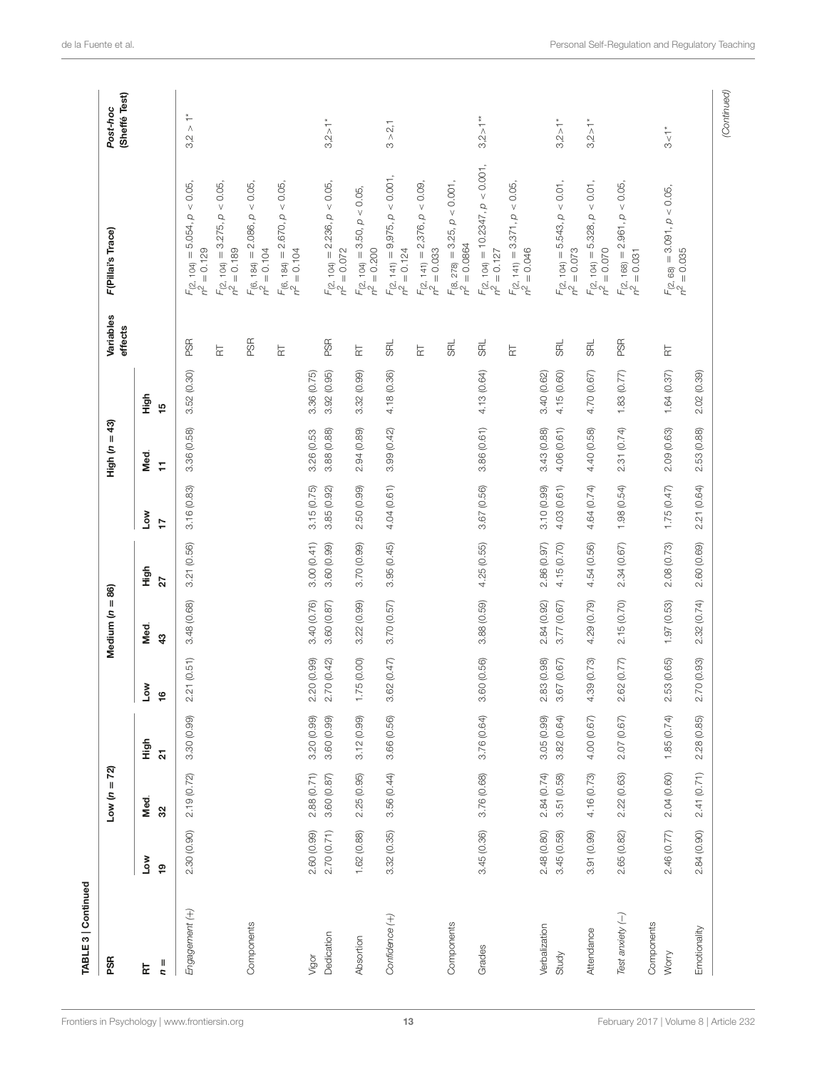| PSR                 |                        | $Low (n = 72)$ |                                 |                      | $= 86$<br>Medium (n   |             |             | High ( $n = 43$ ) |                        | Variables<br>effects       | F(Pillai's Trace)                                                                    | (Sheffé Test)<br>Post-hoc                                |
|---------------------|------------------------|----------------|---------------------------------|----------------------|-----------------------|-------------|-------------|-------------------|------------------------|----------------------------|--------------------------------------------------------------------------------------|----------------------------------------------------------|
| $\frac{1}{2}$<br>군  | <b>Low</b><br><b>0</b> | Med.<br>32     | High<br>$\overline{\mathbf{z}}$ | Low<br>$\frac{6}{5}$ | Med.<br>$\frac{3}{4}$ | High<br>27  | γοη<br>17   | Med.<br>Ξ         | High<br>$\frac{15}{2}$ |                            |                                                                                      |                                                          |
| Engagement (+)      | 2.30(0.90)             | 2.19(0.72)     | 3.30 (0.99)                     | 2.21(0.51)           | 3.48 (0.68)           | 3.21 (0.56) | 3.16(0.83)  | 3.36 (0.58)       | 3.52(0.30)             | <b>PSR</b>                 | $< 0.05$ ,<br>$F_{(2, 104)} = 5.054, p$<br>$= 0.129$<br>$\tilde{c}$                  | $\stackrel{*}{\underset{\wedge}{\longleftarrow}}$<br>3.2 |
|                     |                        |                |                                 |                      |                       |             |             |                   |                        | $\overleftarrow{\Xi}$      | $<0.05,$<br>$F_{(2, 104)} = 3.275, p$<br>$n^2 = 0.189$                               |                                                          |
| Components          |                        |                |                                 |                      |                       |             |             |                   |                        | PSR                        | $< 0.05$ ,<br>$F_{(6, 184)} = 2.086, p$<br>$n^2 = 0.104$                             |                                                          |
|                     |                        |                |                                 |                      |                       |             |             |                   |                        | $\overleftarrow{\text{r}}$ | < 0.05,<br>$F_{(6, 184)} = 2.670, p$<br>$n^2 = 0.104$<br>$= 0.104$                   |                                                          |
| Vigor               | 2.60 (0.99)            | 2.88(0.71)     | 3.20 (0.99)                     | 2.20 (0.99)          | 3.40 (0.76)           | 3.00(0.41)  | 3.15(0.75)  | 3.26 (0.53        | 3.36 (0.75)            |                            |                                                                                      |                                                          |
| Dedication          | 2.70(0.71)             | 3.60(0.87)     | 3.60 (0.99)                     | 2.70 (0.42)          | 3.60 (0.87)           | 3.60 (0.99) | 3.85 (0.92) | 3.88 (0.88)       | 3.92(0.95)             | <b>PSR</b>                 | $F_{(2, 104)} = 2.236, p < 0.05,$<br>$n^2 = 0.072$                                   | $3,2 > 1*$                                               |
| Absortion           | 1.62(0.88)             | 2.25(0.95)     | 3.12(0.99)                      | 75 (0.00)<br>Ξ       | 3.22(0.99)            | 3.70 (0.99) | 2.50(0.99)  | 2.94 (0.89)       | 3.32(0.99)             | $\overleftarrow{\text{F}}$ | $F_{(2, 104)} = 3.50, p < 0.05,$<br>$= 0.200$<br>$\sigma^2$                          |                                                          |
| Confidence (+)      | 3.32(0.35)             | 3.56(0.44)     | 3.66 (0.56)                     | 3.62(0.47)           | 3.70(0.57)            | 3.95(0.45)  | 4.04 (0.61) | 3.99 (0.42)       | 4.18 (0.36)            | <b>SRL</b>                 | $< 0.001$ ,<br>$F_{(2, 141)} = 9,975, p$<br>$= 0.124$<br>$\tilde{\mathcal{L}}$       | $3 > 2,1$                                                |
|                     |                        |                |                                 |                      |                       |             |             |                   |                        | $\overleftarrow{\Xi}$      | $< 0.09$ ,<br>$\overline{a}$<br>$F_{(2, 141)} = 2,376, \mu$<br>$n^2 = 0.033$         |                                                          |
| Components          |                        |                |                                 |                      |                       |             |             |                   |                        | <b>RL</b>                  | $F_{(8, 278)} = 3.25, p < 0.001,$<br>$n^2 = 0.0864$                                  |                                                          |
| Grades              | 3.45(0.36)             | 3.76 (0.68)    | 3.76 (0.64)                     | 3.60 (0.56)          | 3.88 (0.59)           | 4.25 (0.55) | 3.67 (0.56) | 3.86(0.61)        | 4.13 (0.64)            | <b>SRL</b>                 | $F_{(2, 104)} = 10.2347$ , $p < 0.001$ ,<br>$n^2 = 0.127$                            | $3,2 > 1**$                                              |
|                     |                        |                |                                 |                      |                       |             |             |                   |                        | $\overleftarrow{\text{r}}$ | $F(z, 141) = 3.371, p < 0.05,$<br>$n^2 = 0.046$                                      |                                                          |
| Verbalization       | 2.48(0.80)             | 2.84(0.74)     | 3.05(0.99)                      | 2.83 (0.98)          | 2.84 (0.92)           | 2.86 (0.97) | 3.10(0.99)  | 3.43(0.88)        | 3.40 (0.62)            |                            |                                                                                      |                                                          |
| Study               | 3.45(0.58)             | 3.51(0.58)     | 3.82(0.64)                      | 3.67(0.67)           | 3.77 (0.67)           | 4.15 (0.70) | 4.03 (0.61) | 4.06 (0.61)       | 4.15(0.60)             | <b>SRL</b>                 | $F_{(2, 104)} = 5.543, p < 0.01,$<br>$n^2 = 0.073$                                   | $3,2 > 1*$                                               |
| Attendance          | 3.91 (0.99)            | 4.16 (0.73)    | 4.00 (0.67)                     | 4.39 (0.73)          | 4.29 (0.79)           | 4.54 (0.56) | 4.64 (0.74) | 4.40 (0.58)       | 4.70 (0.67)            | <b>SRL</b>                 | $<0.01,$<br>$\mathcal{Q}$<br>$F_{(2, 104)} = 5.328$ ,<br>$= 0.070$<br>$\overline{q}$ | $3,2 > 1*$                                               |
| Test anxiety (-)    | 2.65(0.82)             | 2.22(0.63)     | 2.07 (0.67)                     | 2.62(0.77)           | 2.15(0.70)            | 2.34 (0.67) | 1.98(0.54)  | 2.31 (0.74)       | 1.83 (0.77)            | PSR                        | $F_{(2, 168)} = 2.961, p < 0.05,$<br>$n^2 = 0.031$                                   |                                                          |
| Components<br>Worry | 2.46(0.77)             | 2.04(0.60)     | 1.85(0.74)                      | 2.53(0.65)           | 1.97(0.53)            | 2.08 (0.73) | 1.75(0.47)  | 2.09 (0.63)       | 1.64(0.37)             | $\overline{R}$             | $F_{(2, 68)} = 3.091, p < 0.05,$<br>$n^2 = 0.035$                                    | $\overline{5}$                                           |
| Emotionality        | 2.84(0.90)             | 2.41 (0.71)    | 2.28 (0.85)                     | 2.70 (0.93)          | 2.32 (0.74)           | 2.60 (0.69) | 2.21 (0.64) | 2.53 (0.88)       | 2.02 (0.39)            |                            |                                                                                      |                                                          |

[Frontiers in Psychology](http://www.frontiersin.org/Psychology)| [www.frontiersin.org](http://www.frontiersin.org) 13 13 Tebruary 2017 | Volume 8 | Article 232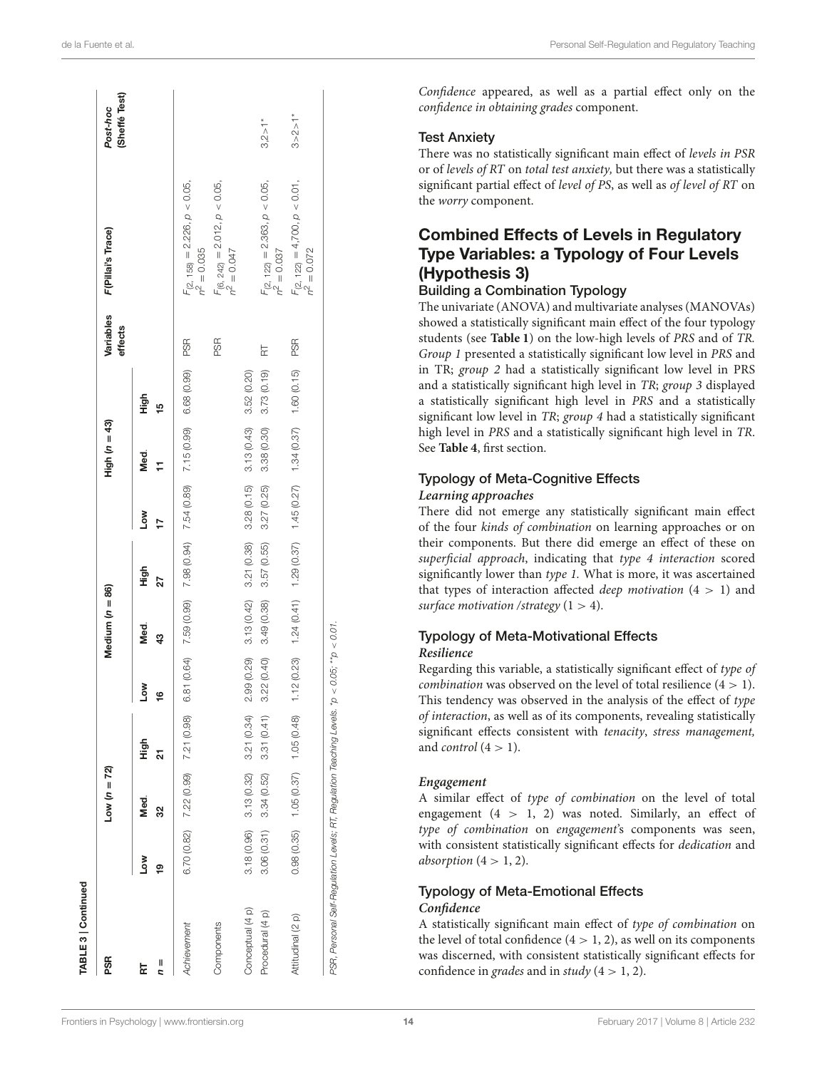| PSR               |                 | $Low (n = 72)$                           |                           |                           | Medium $(n = 86)$ |            |            | High $(n = 43)$                                                               |            | Variables<br>effects | F(Pillai's Trace)                                         | (Sheffé Test)<br>Post-hoc |
|-------------------|-----------------|------------------------------------------|---------------------------|---------------------------|-------------------|------------|------------|-------------------------------------------------------------------------------|------------|----------------------|-----------------------------------------------------------|---------------------------|
| $n =$<br>료        | <b>No7</b><br>ഉ | Med.<br>S)                               | tigh<br>ភ                 | Low<br>\$                 | Med.<br>43        | High<br>27 | Low<br>Þ   | Med.<br>Ħ                                                                     | High<br>15 |                      |                                                           |                           |
| Achievement       |                 | $6.70(0.82)$ $7.22(0.99)$ $7.21(0.98)$   |                           |                           |                   |            |            | 6.81 (0.64) 7.59 (0.99) 7.98 (0.94) 7.54 (0.89) 7.15 (0.99) 6.68 (0.99)       |            | <b>PSR</b>           | $F_{(2, 158)} = 2.226, p < 0.05,$<br>$n^2 = 0.035$        |                           |
| Components        |                 |                                          |                           |                           |                   |            |            |                                                                               |            | PSR,                 | $F_{(6, 242)} = 2.012$ , $\rho < 0.05$ ,<br>$n^2 = 0.047$ |                           |
| Conceptual (4 p)  | 3.18(0.96)      |                                          | $3.13(0.32)$ $3.21(0.34)$ |                           |                   |            |            | $2.99(0.29)$ $3.13(0.42)$ $3.21(0.38)$ $3.28(0.15)$ $3.13(0.43)$ $3.52(0.20)$ |            |                      |                                                           |                           |
| Procedural (4 p)  | 3.06(0.31)      | 3.34(0.52)                               | 3.31(0.41)                | $3.22(0.40)$ $3.49(0.38)$ |                   | 3.57(0.55) | 3.27(0.25) | 3.38 (0.30)                                                                   | 3.73(0.19) | $\overline{R}$       | $F_{(2, 122)} = 2.363, p < 0.05,$<br>$n^2 = 0.037$        | $3,2 > 1*$                |
| Attitudinal (2 p) |                 | $0.98(0.35)$ 1.05 $(0.37)$ 1.05 $(0.48)$ |                           |                           |                   |            |            | $1.12(0.23)$ $1.24(0.41)$ $1.29(0.37)$ $1.45(0.27)$ $1.34(0.37)$ $1.60(0.15)$ |            | <b>PSR</b>           | $F_{(2, 122)} = 4,700, p < 0.01,$<br>$n^2 = 0.072$        | $3 > 2 > 1*$              |

Confidence appeared, as well as a partial effect only on the confidence in obtaining grades component.

#### Test Anxiety

There was no statistically significant main effect of levels in PSR or of levels of RT on total test anxiety, but there was a statistically significant partial effect of level of PS, as well as of level of RT on the worry component.

### Combined Effects of Levels in Regulatory Type Variables: a Typology of Four Levels (Hypothesis 3)

### Building a Combination Typology

The univariate (ANOVA) and multivariate analyses (MANOVAs) showed a statistically significant main effect of the four typology students (see **[Table 1](#page-5-0)**) on the low-high levels of PRS and of TR. Group 1 presented a statistically significant low level in PRS and in TR; group 2 had a statistically significant low level in PRS and a statistically significant high level in TR; group 3 displayed a statistically significant high level in PRS and a statistically significant low level in TR; group 4 had a statistically significant high level in PRS and a statistically significant high level in TR. See **[Table 4](#page-14-0)**, first section.

#### Typology of Meta-Cognitive Effects

#### **Learning approaches**

There did not emerge any statistically significant main effect of the four kinds of combination on learning approaches or on their components. But there did emerge an effect of these on superficial approach, indicating that type 4 interaction scored significantly lower than type 1. What is more, it was ascertained that types of interaction affected *deep motivation*  $(4 > 1)$  and surface motivation /strategy  $(1 > 4)$ .

#### Typology of Meta-Motivational Effects **Resilience**

Regarding this variable, a statistically significant effect of type of *combination* was observed on the level of total resilience  $(4 > 1)$ . This tendency was observed in the analysis of the effect of type of interaction, as well as of its components, revealing statistically significant effects consistent with tenacity, stress management, and *control*  $(4 > 1)$ .

#### **Engagement**

A similar effect of type of combination on the level of total engagement  $(4 > 1, 2)$  was noted. Similarly, an effect of type of combination on engagement's components was seen, with consistent statistically significant effects for dedication and absorption  $(4 > 1, 2)$ .

# Typology of Meta-Emotional Effects

### **Confidence**

A statistically significant main effect of type of combination on the level of total confidence  $(4 > 1, 2)$ , as well on its components was discerned, with consistent statistically significant effects for confidence in grades and in study  $(4 > 1, 2)$ .

[ABLE 3 | Continued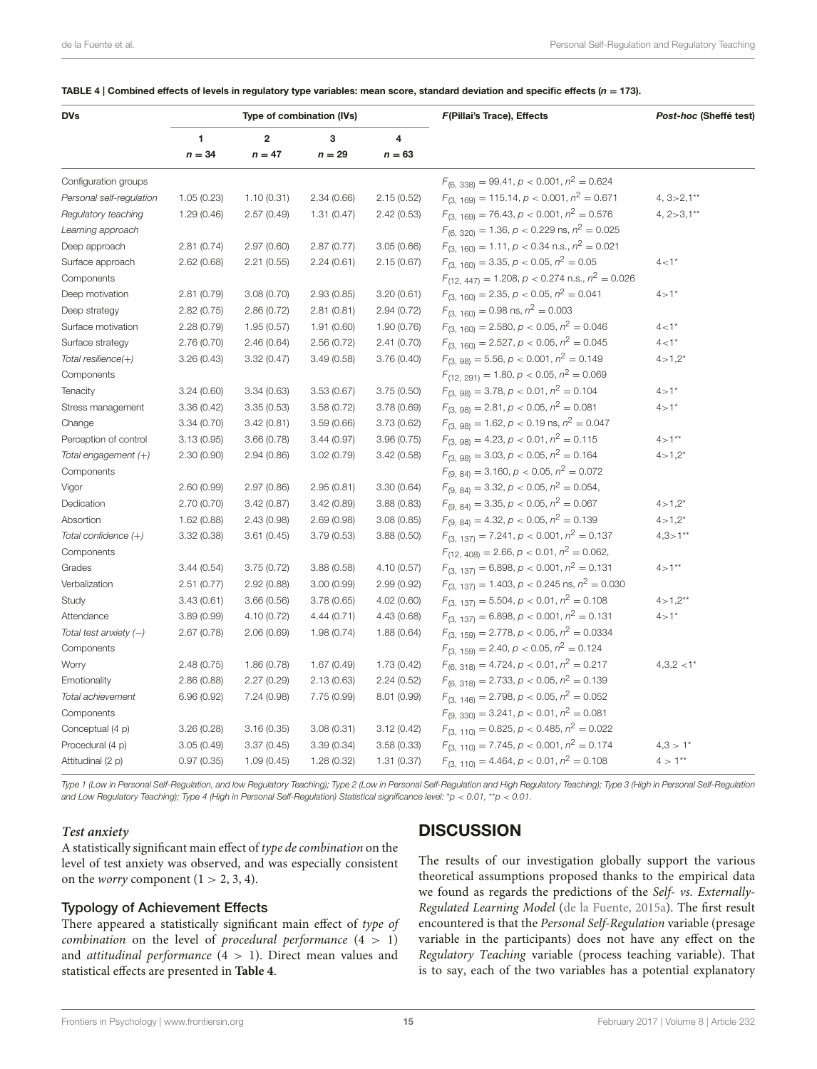<span id="page-14-0"></span>

|  | TABLE 4   Combined effects of levels in regulatory type variables: mean score, standard deviation and specific effects ( $n = 173$ ). |  |  |
|--|---------------------------------------------------------------------------------------------------------------------------------------|--|--|
|--|---------------------------------------------------------------------------------------------------------------------------------------|--|--|

| <b>DVs</b>               |            |                         | Type of combination (IVs) |                         | F(Pillai's Trace), Effects                             | Post-hoc (Sheffé test) |
|--------------------------|------------|-------------------------|---------------------------|-------------------------|--------------------------------------------------------|------------------------|
|                          | 1          | $\overline{\mathbf{2}}$ | 3                         | $\overline{\mathbf{4}}$ |                                                        |                        |
|                          | $n = 34$   | $n = 47$                | $n = 29$                  | $n = 63$                |                                                        |                        |
| Configuration groups     |            |                         |                           |                         | $F_{(6, 338)} = 99.41, p < 0.001, n^2 = 0.624$         |                        |
| Personal self-regulation | 1.05(0.23) | 1.10(0.31)              | 2.34(0.66)                | 2.15(0.52)              | $F_{(3, 169)} = 115.14, p < 0.001, n^2 = 0.671$        | $4, 3 > 2, 1**$        |
| Regulatory teaching      | 1.29(0.46) | 2.57(0.49)              | 1.31(0.47)                | 2.42(0.53)              | $F_{(3, 169)} = 76.43, p < 0.001, n^2 = 0.576$         | 4, $2 > 3,1**$         |
| Learning approach        |            |                         |                           |                         | $F_{(6, 320)} = 1.36, p < 0.229$ ns, $n^2 = 0.025$     |                        |
| Deep approach            | 2.81(0.74) | 2.97(0.60)              | 2.87(0.77)                | 3.05(0.66)              | $F_{(3, 160)} = 1.11, p < 0.34$ n.s., $n^2 = 0.021$    |                        |
| Surface approach         | 2.62(0.68) | 2.21(0.55)              | 2.24(0.61)                | 2.15(0.67)              | $F_{(3, 160)} = 3.35, p < 0.05, n^2 = 0.05$            | $4 - 1*$               |
| Components               |            |                         |                           |                         | $F_{(12, 447)} = 1.208, p < 0.274$ n.s., $n^2 = 0.026$ |                        |
| Deep motivation          | 2.81(0.79) | 3.08(0.70)              | 2.93(0.85)                | 3.20(0.61)              | $F_{(3, 160)} = 2.35, p < 0.05, n^2 = 0.041$           | $4 > 1*$               |
| Deep strategy            | 2.82(0.75) | 2.86(0.72)              | 2.81(0.81)                | 2.94(0.72)              | $F_{(3, 160)} = 0.98$ ns, $n^2 = 0.003$                |                        |
| Surface motivation       | 2.28(0.79) | 1.95(0.57)              | 1.91(0.60)                | 1.90(0.76)              | $F_{(3, 160)} = 2.580, p < 0.05, n^2 = 0.046$          | $4 - 1*$               |
| Surface strategy         | 2.76(0.70) | 2.46(0.64)              | 2.56(0.72)                | 2.41(0.70)              | $F_{(3, 160)} = 2.527, p < 0.05, n^2 = 0.045$          | $4 - 1*$               |
| Total resilience(+)      | 3.26(0.43) | 3.32(0.47)              | 3.49(0.58)                | 3.76(0.40)              | $F_{(3,98)} = 5.56, p < 0.001, n^2 = 0.149$            | $4 > 1,2^*$            |
| Components               |            |                         |                           |                         | $F_{(12, 291)} = 1.80, p < 0.05, n^2 = 0.069$          |                        |
| Tenacity                 | 3.24(0.60) | 3.34(0.63)              | 3.53(0.67)                | 3.75(0.50)              | $F_{(3, 98)} = 3.78, p < 0.01, n^2 = 0.104$            | $4 > 1*$               |
| Stress management        | 3.36(0.42) | 3.35(0.53)              | 3.58 (0.72)               | 3.78(0.69)              | $F_{(3, 98)} = 2.81, p < 0.05, n^2 = 0.081$            | $4 > 1*$               |
| Change                   | 3.34(0.70) | 3.42(0.81)              | 3.59(0.66)                | 3.73(0.62)              | $F_{(3, 98)} = 1.62, p < 0.19$ ns, $n^2 = 0.047$       |                        |
| Perception of control    | 3.13(0.95) | 3.66(0.78)              | 3.44(0.97)                | 3.96(0.75)              | $F_{(3, 98)} = 4.23, p < 0.01, n^2 = 0.115$            | $4 > 1**$              |
| Total engagement (+)     | 2.30(0.90) | 2.94(0.86)              | 3.02(0.79)                | 3.42(0.58)              | $F_{(3, 98)} = 3.03, p < 0.05, n^2 = 0.164$            | $4 > 1,2*$             |
| Components               |            |                         |                           |                         | $F_{(9, 84)} = 3.160, p < 0.05, n^2 = 0.072$           |                        |
| Vigor                    | 2.60(0.99) | 2.97(0.86)              | 2.95(0.81)                | 3.30(0.64)              | $F_{(9, 84)} = 3.32, p < 0.05, n^2 = 0.054,$           |                        |
| Dedication               | 2.70(0.70) | 3.42(0.87)              | 3.42(0.89)                | 3.88(0.83)              | $F_{(9, 84)} = 3.35, p < 0.05, n^2 = 0.067$            | $4 > 1.2*$             |
| Absortion                | 1.62(0.88) | 2.43(0.98)              | 2.69(0.98)                | 3.08(0.85)              | $F_{(9, 84)} = 4.32, p < 0.05, n^2 = 0.139$            | $4 > 1.2*$             |
| Total confidence (+)     | 3.32(0.38) | 3.61(0.45)              | 3.79(0.53)                | 3.88(0.50)              | $F_{(3, 137)} = 7.241, p < 0.001, n^2 = 0.137$         | $4,3>1***$             |
| Components               |            |                         |                           |                         | $F_{(12, 408)} = 2.66, p < 0.01, n^2 = 0.062,$         |                        |
| Grades                   | 3.44(0.54) | 3.75(0.72)              | 3.88(0.58)                | 4.10(0.57)              | $F_{(3, 137)} = 6,898, p < 0.001, n^2 = 0.131$         | $4 > 1**$              |
| Verbalization            | 2.51(0.77) | 2.92(0.88)              | 3.00(0.99)                | 2.99(0.92)              | $F_{(3, 137)} = 1.403, p < 0.245$ ns, $n^2 = 0.030$    |                        |
| Study                    | 3.43(0.61) | 3.66(0.56)              | 3.78(0.65)                | 4.02(0.60)              | $F_{(3, 137)} = 5.504, p < 0.01, n^2 = 0.108$          | $4 > 1,2***$           |
| Attendance               | 3.89(0.99) | 4.10(0.72)              | 4.44(0.71)                | 4.43 (0.68)             | $F_{(3, 137)} = 6.898, p < 0.001, n^2 = 0.131$         | $4 > 1*$               |
| Total test anxiety $(-)$ | 2.67(0.78) | 2.06(0.69)              | 1.98(0.74)                | 1.88(0.64)              | $F_{(3, 159)} = 2.778, p < 0.05, n^2 = 0.0334$         |                        |
| Components               |            |                         |                           |                         | $F_{(3, 159)} = 2.40, p < 0.05, n^2 = 0.124$           |                        |
| Worry                    | 2.48(0.75) | 1.86(0.78)              | 1.67(0.49)                | 1.73 (0.42)             | $F_{(6, 318)} = 4.724, p < 0.01, n^2 = 0.217$          | $4,3,2 < 1*$           |
| Emotionality             | 2.86(0.88) | 2.27(0.29)              | 2.13(0.63)                | 2.24(0.52)              | $F_{(6, 318)} = 2.733, p < 0.05, n^2 = 0.139$          |                        |
| Total achievement        | 6.96(0.92) | 7.24(0.98)              | 7.75 (0.99)               | 8.01 (0.99)             | $F_{(3, 146)} = 2.798, p < 0.05, n^2 = 0.052$          |                        |
| Components               |            |                         |                           |                         | $F_{(9, 330)} = 3.241, p < 0.01, n^2 = 0.081$          |                        |
| Conceptual (4 p)         | 3.26(0.28) | 3.16(0.35)              | 3.08(0.31)                | 3.12(0.42)              | $F_{(3, 110)} = 0.825, p < 0.485, n^2 = 0.022$         |                        |
| Procedural (4 p)         | 3.05(0.49) | 3.37(0.45)              | 3.39(0.34)                | 3.58(0.33)              | $F_{(3, 110)} = 7.745, p < 0.001, n^2 = 0.174$         | $4.3 > 1*$             |
| Attitudinal (2 p)        | 0.97(0.35) | 1.09(0.45)              | 1.28(0.32)                | 1.31(0.37)              | $F_{(3, 110)} = 4.464, p < 0.01, n^2 = 0.108$          | $4 > 1***$             |

Type 1 (Low in Personal Self-Regulation, and low Regulatory Teaching); Type 2 (Low in Personal Self-Regulation and High Regulatory Teaching); Type 3 (High in Personal Self-Regulation and Low Regulatory Teaching); Type 4 (High in Personal Self-Regulation) Statistical significance level: \*p < 0.01, \*\*p < 0.01.

#### **Test anxiety**

### **DISCUSSION**

A statistically significant main effect of type de combination on the level of test anxiety was observed, and was especially consistent on the *worry* component  $(1 > 2, 3, 4)$ .

### Typology of Achievement Effects

There appeared a statistically significant main effect of type of combination on the level of procedural performance  $(4 > 1)$ and *attitudinal performance*  $(4 > 1)$ . Direct mean values and statistical effects are presented in **[Table 4](#page-14-0)**.

The results of our investigation globally support the various theoretical assumptions proposed thanks to the empirical data we found as regards the predictions of the Self- vs. Externally-Regulated Learning Model [\(de la Fuente, 2015a\)](#page-16-3). The first result encountered is that the Personal Self-Regulation variable (presage variable in the participants) does not have any effect on the Regulatory Teaching variable (process teaching variable). That is to say, each of the two variables has a potential explanatory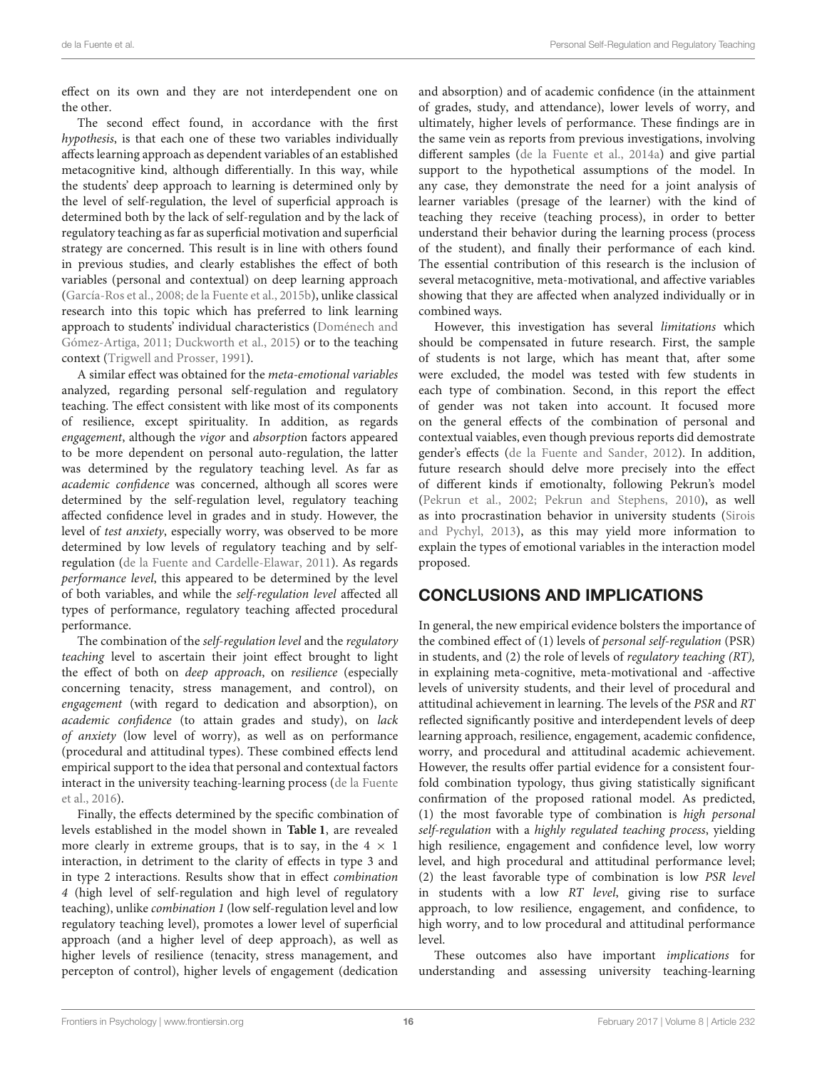effect on its own and they are not interdependent one on the other.

The second effect found, in accordance with the first hypothesis, is that each one of these two variables individually affects learning approach as dependent variables of an established metacognitive kind, although differentially. In this way, while the students' deep approach to learning is determined only by the level of self-regulation, the level of superficial approach is determined both by the lack of self-regulation and by the lack of regulatory teaching as far as superficial motivation and superficial strategy are concerned. This result is in line with others found in previous studies, and clearly establishes the effect of both variables (personal and contextual) on deep learning approach [\(García-Ros et al., 2008;](#page-17-2) [de la Fuente et al., 2015b\)](#page-17-17), unlike classical research into this topic which has preferred to link learning approach to students' individual characteristics (Doménech and Gómez-Artiga, [2011;](#page-17-32) [Duckworth et al., 2015\)](#page-17-33) or to the teaching context [\(Trigwell and Prosser, 1991\)](#page-18-22).

A similar effect was obtained for the meta-emotional variables analyzed, regarding personal self-regulation and regulatory teaching. The effect consistent with like most of its components of resilience, except spirituality. In addition, as regards engagement, although the vigor and absorption factors appeared to be more dependent on personal auto-regulation, the latter was determined by the regulatory teaching level. As far as academic confidence was concerned, although all scores were determined by the self-regulation level, regulatory teaching affected confidence level in grades and in study. However, the level of test anxiety, especially worry, was observed to be more determined by low levels of regulatory teaching and by selfregulation [\(de la Fuente and Cardelle-Elawar, 2011\)](#page-16-20). As regards performance level, this appeared to be determined by the level of both variables, and while the self-regulation level affected all types of performance, regulatory teaching affected procedural performance.

The combination of the self-regulation level and the regulatory teaching level to ascertain their joint effect brought to light the effect of both on deep approach, on resilience (especially concerning tenacity, stress management, and control), on engagement (with regard to dedication and absorption), on academic confidence (to attain grades and study), on lack of anxiety (low level of worry), as well as on performance (procedural and attitudinal types). These combined effects lend empirical support to the idea that personal and contextual factors interact in the university teaching-learning process (de la Fuente et al., [2016\)](#page-17-34).

Finally, the effects determined by the specific combination of levels established in the model shown in **[Table 1](#page-5-0)**, are revealed more clearly in extreme groups, that is to say, in the  $4 \times 1$ interaction, in detriment to the clarity of effects in type 3 and in type 2 interactions. Results show that in effect combination 4 (high level of self-regulation and high level of regulatory teaching), unlike combination 1 (low self-regulation level and low regulatory teaching level), promotes a lower level of superficial approach (and a higher level of deep approach), as well as higher levels of resilience (tenacity, stress management, and percepton of control), higher levels of engagement (dedication

and absorption) and of academic confidence (in the attainment of grades, study, and attendance), lower levels of worry, and ultimately, higher levels of performance. These findings are in the same vein as reports from previous investigations, involving different samples [\(de la Fuente et al., 2014a\)](#page-16-6) and give partial support to the hypothetical assumptions of the model. In any case, they demonstrate the need for a joint analysis of learner variables (presage of the learner) with the kind of teaching they receive (teaching process), in order to better understand their behavior during the learning process (process of the student), and finally their performance of each kind. The essential contribution of this research is the inclusion of several metacognitive, meta-motivational, and affective variables showing that they are affected when analyzed individually or in combined ways.

However, this investigation has several limitations which should be compensated in future research. First, the sample of students is not large, which has meant that, after some were excluded, the model was tested with few students in each type of combination. Second, in this report the effect of gender was not taken into account. It focused more on the general effects of the combination of personal and contextual vaiables, even though previous reports did demostrate gender's effects [\(de la Fuente and Sander, 2012\)](#page-16-21). In addition, future research should delve more precisely into the effect of different kinds if emotionalty, following Pekrun's model [\(Pekrun et al., 2002;](#page-17-35) [Pekrun and Stephens, 2010\)](#page-17-36), as well as into procrastination behavior in university students (Sirois and Pychyl, [2013\)](#page-18-23), as this may yield more information to explain the types of emotional variables in the interaction model proposed.

### CONCLUSIONS AND IMPLICATIONS

In general, the new empirical evidence bolsters the importance of the combined effect of (1) levels of personal self-regulation (PSR) in students, and (2) the role of levels of regulatory teaching (RT), in explaining meta-cognitive, meta-motivational and -affective levels of university students, and their level of procedural and attitudinal achievement in learning. The levels of the PSR and RT reflected significantly positive and interdependent levels of deep learning approach, resilience, engagement, academic confidence, worry, and procedural and attitudinal academic achievement. However, the results offer partial evidence for a consistent fourfold combination typology, thus giving statistically significant confirmation of the proposed rational model. As predicted, (1) the most favorable type of combination is high personal self-regulation with a highly regulated teaching process, yielding high resilience, engagement and confidence level, low worry level, and high procedural and attitudinal performance level; (2) the least favorable type of combination is low PSR level in students with a low RT level, giving rise to surface approach, to low resilience, engagement, and confidence, to high worry, and to low procedural and attitudinal performance level.

These outcomes also have important implications for understanding and assessing university teaching-learning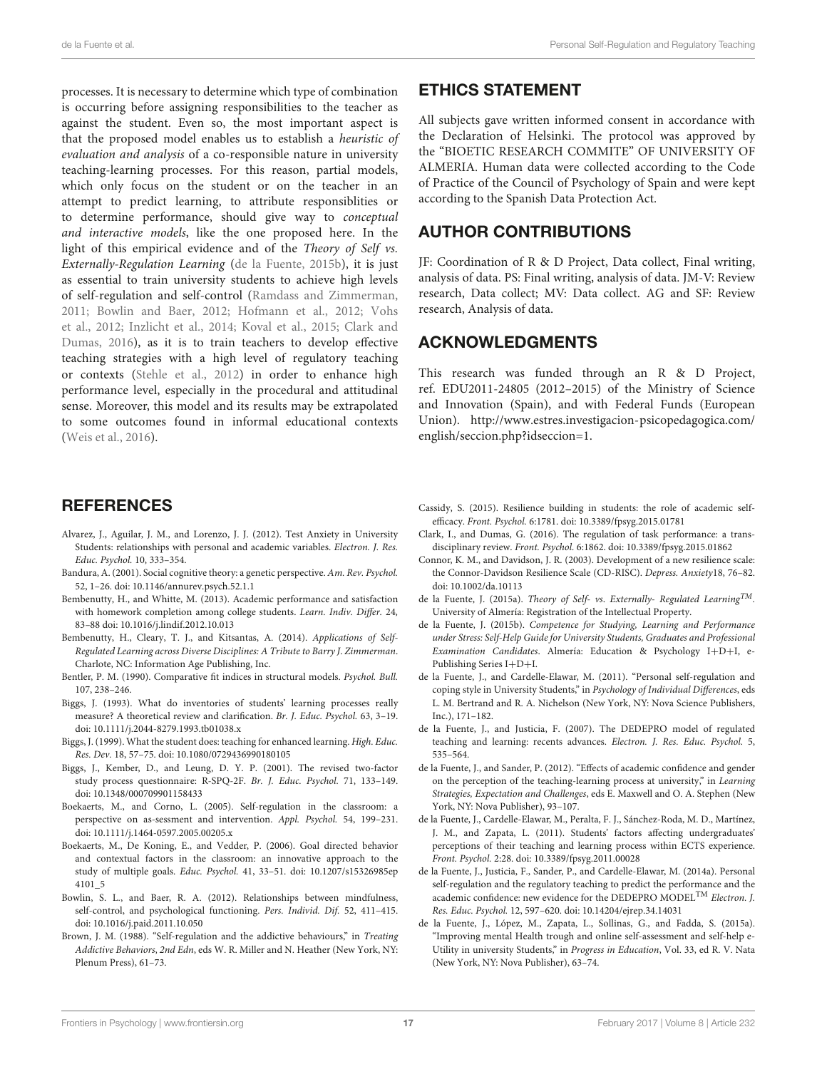processes. It is necessary to determine which type of combination is occurring before assigning responsibilities to the teacher as against the student. Even so, the most important aspect is that the proposed model enables us to establish a heuristic of evaluation and analysis of a co-responsible nature in university teaching-learning processes. For this reason, partial models, which only focus on the student or on the teacher in an attempt to predict learning, to attribute responsiblities or to determine performance, should give way to conceptual and interactive models, like the one proposed here. In the light of this empirical evidence and of the Theory of Self vs. Externally-Regulation Learning [\(de la Fuente, 2015b\)](#page-16-9), it is just as essential to train university students to achieve high levels of self-regulation and self-control [\(Ramdass and Zimmerman,](#page-18-24) [2011;](#page-18-24) [Bowlin and Baer, 2012;](#page-16-22) [Hofmann et al., 2012;](#page-17-6) Vohs et al., [2012;](#page-18-25) [Inzlicht et al., 2014;](#page-17-37) [Koval et al., 2015;](#page-17-38) Clark and Dumas, [2016\)](#page-16-0), as it is to train teachers to develop effective teaching strategies with a high level of regulatory teaching or contexts [\(Stehle et al., 2012\)](#page-18-26) in order to enhance high performance level, especially in the procedural and attitudinal sense. Moreover, this model and its results may be extrapolated to some outcomes found in informal educational contexts [\(Weis et al., 2016\)](#page-18-27).

### **REFERENCES**

- <span id="page-16-12"></span>Alvarez, J., Aguilar, J. M., and Lorenzo, J. J. (2012). Test Anxiety in University Students: relationships with personal and academic variables. Electron. J. Res. Educ. Psychol. 10, 333–354.
- <span id="page-16-8"></span>Bandura, A. (2001). Social cognitive theory: a genetic perspective. Am. Rev. Psychol. 52, 1–26. doi: [10.1146/annurev.psych.52.1.1](https://doi.org/10.1146/annurev.psych.52.1.1)
- <span id="page-16-1"></span>Bembenutty, H., and Whitte, M. (2013). Academic performance and satisfaction with homework completion among college students. Learn. Indiv. Differ. 24, 83–88 doi: [10.1016/j.lindif.2012.10.013](https://doi.org/10.1016/j.lindif.2012.10.013)
- <span id="page-16-2"></span>Bembenutty, H., Cleary, T. J., and Kitsantas, A. (2014). Applications of Self-Regulated Learning across Diverse Disciplines: A Tribute to Barry J. Zimmerman. Charlote, NC: Information Age Publishing, Inc.
- <span id="page-16-16"></span>Bentler, P. M. (1990). Comparative fit indices in structural models. Psychol. Bull. 107, 238–246.
- <span id="page-16-10"></span>Biggs, J. (1993). What do inventories of students' learning processes really measure? A theoretical review and clarification. Br. J. Educ. Psychol. 63, 3–19. doi: [10.1111/j.2044-8279.1993.tb01038.x](https://doi.org/10.1111/j.2044-8279.1993.tb01038.x)
- <span id="page-16-4"></span>Biggs, J. (1999). What the student does: teaching for enhanced learning. High. Educ. Res. Dev. 18, 57–75. doi: [10.1080/0729436990180105](https://doi.org/10.1080/0729436990180105)
- <span id="page-16-15"></span>Biggs, J., Kember, D., and Leung, D. Y. P. (2001). The revised two-factor study process questionnaire: R-SPQ-2F. Br. J. Educ. Psychol. 71, 133–149. doi: [10.1348/000709901158433](https://doi.org/10.1348/000709901158433)
- <span id="page-16-13"></span>Boekaerts, M., and Corno, L. (2005). Self-regulation in the classroom: a perspective on as-sessment and intervention. Appl. Psychol. 54, 199–231. doi: [10.1111/j.1464-0597.2005.00205.x](https://doi.org/10.1111/j.1464-0597.2005.00205.x)
- <span id="page-16-14"></span>Boekaerts, M., De Koning, E., and Vedder, P. (2006). Goal directed behavior and contextual factors in the classroom: an innovative approach to the study of multiple goals. Educ. Psychol. [41, 33–51. doi: 10.1207/s15326985ep](https://doi.org/10.1207/s15326985ep4101_5) 4101\_5
- <span id="page-16-22"></span>Bowlin, S. L., and Baer, R. A. (2012). Relationships between mindfulness, self-control, and psychological functioning. Pers. Individ. Dif. 52, 411–415. doi: [10.1016/j.paid.2011.10.050](https://doi.org/10.1016/j.paid.2011.10.050)
- <span id="page-16-7"></span>Brown, J. M. (1988). "Self-regulation and the addictive behaviours," in Treating Addictive Behaviors, 2nd Edn, eds W. R. Miller and N. Heather (New York, NY: Plenum Press), 61–73.

### ETHICS STATEMENT

All subjects gave written informed consent in accordance with the Declaration of Helsinki. The protocol was approved by the "BIOETIC RESEARCH COMMITE" OF UNIVERSITY OF ALMERIA. Human data were collected according to the Code of Practice of the Council of Psychology of Spain and were kept according to the Spanish Data Protection Act.

### AUTHOR CONTRIBUTIONS

JF: Coordination of R & D Project, Data collect, Final writing, analysis of data. PS: Final writing, analysis of data. JM-V: Review research, Data collect; MV: Data collect. AG and SF: Review research, Analysis of data.

### ACKNOWLEDGMENTS

This research was funded through an R & D Project, ref. EDU2011-24805 (2012–2015) of the Ministry of Science and Innovation (Spain), and with Federal Funds (European Union). [http://www.estres.investigacion-psicopedagogica.com/](http://www.estres.investigacion-psicopedagogica.com/english/seccion.php?idseccion=1) [english/seccion.php?idseccion=1.](http://www.estres.investigacion-psicopedagogica.com/english/seccion.php?idseccion=1)

- <span id="page-16-11"></span>Cassidy, S. (2015). Resilience building in students: the role of academic selfefficacy. Front. Psychol. 6:1781. doi: [10.3389/fpsyg.2015.01781](https://doi.org/10.3389/fpsyg.2015.01781)
- <span id="page-16-0"></span>Clark, I., and Dumas, G. (2016). The regulation of task performance: a transdisciplinary review. Front. Psychol. 6:1862. doi: [10.3389/fpsyg.2015.01862](https://doi.org/10.3389/fpsyg.2015.01862)
- <span id="page-16-17"></span>Connor, K. M., and Davidson, J. R. (2003). Development of a new resilience scale: the Connor-Davidson Resilience Scale (CD-RISC). Depress. Anxiety18, 76–82. doi: [10.1002/da.10113](https://doi.org/10.1002/da.10113)
- <span id="page-16-3"></span>de la Fuente, J. (2015a). Theory of Self- vs. Externally- Regulated Learning<sup>TM</sup>. University of Almería: Registration of the Intellectual Property.
- <span id="page-16-9"></span>de la Fuente, J. (2015b). Competence for Studying, Learning and Performance under Stress: Self-Help Guide for University Students, Graduates and Professional Examination Candidates. Almería: Education & Psychology I+D+I, e-Publishing Series I+D+I.
- <span id="page-16-20"></span>de la Fuente, J., and Cardelle-Elawar, M. (2011). "Personal self-regulation and coping style in University Students," in Psychology of Individual Differences, eds L. M. Bertrand and R. A. Nichelson (New York, NY: Nova Science Publishers, Inc.), 171–182.
- <span id="page-16-5"></span>de la Fuente, J., and Justicia, F. (2007). The DEDEPRO model of regulated teaching and learning: recents advances. Electron. J. Res. Educ. Psychol. 5, 535–564.
- <span id="page-16-21"></span>de la Fuente, J., and Sander, P. (2012). "Effects of academic confidence and gender on the perception of the teaching-learning process at university," in Learning Strategies, Expectation and Challenges, eds E. Maxwell and O. A. Stephen (New York, NY: Nova Publisher), 93–107.
- <span id="page-16-18"></span>de la Fuente, J., Cardelle-Elawar, M., Peralta, F. J., Sánchez-Roda, M. D., Martínez, J. M., and Zapata, L. (2011). Students' factors affecting undergraduates' perceptions of their teaching and learning process within ECTS experience. Front. Psychol. 2:28. doi: [10.3389/fpsyg.2011.00028](https://doi.org/10.3389/fpsyg.2011.00028)
- <span id="page-16-6"></span>de la Fuente, J., Justicia, F., Sander, P., and Cardelle-Elawar, M. (2014a). Personal self-regulation and the regulatory teaching to predict the performance and the academic confidence: new evidence for the DEDEPRO MODEL<sup>TM</sup> Electron. J. Res. Educ. Psychol. 12, 597–620. doi: [10.14204/ejrep.34.14031](https://doi.org/10.14204/ejrep.34.14031)
- <span id="page-16-19"></span>de la Fuente, J., López, M., Zapata, L., Sollinas, G., and Fadda, S. (2015a). "Improving mental Health trough and online self-assessment and self-help e-Utility in university Students," in Progress in Education, Vol. 33, ed R. V. Nata (New York, NY: Nova Publisher), 63–74.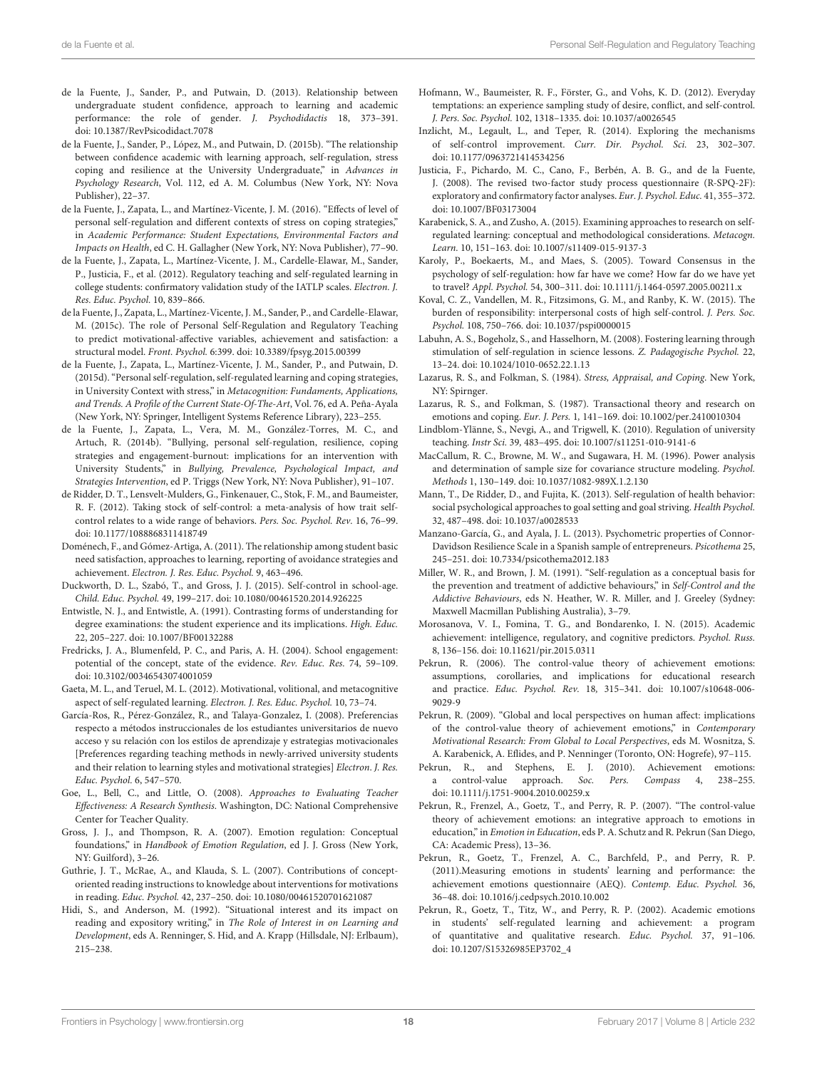- <span id="page-17-16"></span>de la Fuente, J., Sander, P., and Putwain, D. (2013). Relationship between undergraduate student confidence, approach to learning and academic performance: the role of gender. J. Psychodidactis 18, 373–391. doi: [10.1387/RevPsicodidact.7078](https://doi.org/10.1387/RevPsicodidact.7078)
- <span id="page-17-17"></span>de la Fuente, J., Sander, P., López, M., and Putwain, D. (2015b). "The relationship between confidence academic with learning approach, self-regulation, stress coping and resilience at the University Undergraduate," in Advances in Psychology Research, Vol. 112, ed A. M. Columbus (New York, NY: Nova Publisher), 22–37.
- <span id="page-17-34"></span>de la Fuente, J., Zapata, L., and Martínez-Vicente, J. M. (2016). "Effects of level of personal self-regulation and different contexts of stress on coping strategies," in Academic Performance: Student Expectations, Environmental Factors and Impacts on Health, ed C. H. Gallagher (New York, NY: Nova Publisher), 77–90.
- <span id="page-17-31"></span>de la Fuente, J., Zapata, L., Martínez-Vicente, J. M., Cardelle-Elawar, M., Sander, P., Justicia, F., et al. (2012). Regulatory teaching and self-regulated learning in college students: confirmatory validation study of the IATLP scales. Electron. J. Res. Educ. Psychol. 10, 839–866.
- <span id="page-17-26"></span>de la Fuente, J., Zapata, L., Martínez-Vicente, J. M., Sander, P., and Cardelle-Elawar, M. (2015c). The role of Personal Self-Regulation and Regulatory Teaching to predict motivational-affective variables, achievement and satisfaction: a structural model. Front. Psychol. 6:399. doi: [10.3389/fpsyg.2015.00399](https://doi.org/10.3389/fpsyg.2015.00399)
- <span id="page-17-9"></span>de la Fuente, J., Zapata, L., Martínez-Vicente, J. M., Sander, P., and Putwain, D. (2015d). "Personal self-regulation, self-regulated learning and coping strategies, in University Context with stress," in Metacognition: Fundaments, Applications, and Trends. A Profile of the Current State-Of-The-Art, Vol. 76, ed A. Peña-Ayala (New York, NY: Springer, Intelligent Systems Reference Library), 223–255.
- <span id="page-17-8"></span>de la Fuente, J., Zapata, L., Vera, M. M., González-Torres, M. C., and Artuch, R. (2014b). "Bullying, personal self-regulation, resilience, coping strategies and engagement-burnout: implications for an intervention with University Students," in Bullying, Prevalence, Psychological Impact, and Strategies Intervention, ed P. Triggs (New York, NY: Nova Publisher), 91–107.
- <span id="page-17-4"></span>de Ridder, D. T., Lensvelt-Mulders, G., Finkenauer, C., Stok, F. M., and Baumeister, R. F. (2012). Taking stock of self-control: a meta-analysis of how trait selfcontrol relates to a wide range of behaviors. Pers. Soc. Psychol. Rev. 16, 76–99. doi: [10.1177/1088868311418749](https://doi.org/10.1177/1088868311418749)
- <span id="page-17-32"></span>Doménech, F., and Gómez-Artiga, A. (2011). The relationship among student basic need satisfaction, approaches to learning, reporting of avoidance strategies and achievement. Electron. J. Res. Educ. Psychol. 9, 463–496.
- <span id="page-17-33"></span>Duckworth, D. L., Szabó, T., and Gross, J. J. (2015). Self-control in school-age. Child. Educ. Psychol. 49, 199–217. doi: [10.1080/00461520.2014.926225](https://doi.org/10.1080/00461520.2014.926225)
- <span id="page-17-25"></span>Entwistle, N. J., and Entwistle, A. (1991). Contrasting forms of understanding for degree examinations: the student experience and its implications. High. Educ. 22, 205–227. doi: [10.1007/BF00132288](https://doi.org/10.1007/BF00132288)
- <span id="page-17-11"></span>Fredricks, J. A., Blumenfeld, P. C., and Paris, A. H. (2004). School engagement: potential of the concept, state of the evidence. Rev. Educ. Res. 74, 59–109. doi: [10.3102/00346543074001059](https://doi.org/10.3102/00346543074001059)
- <span id="page-17-0"></span>Gaeta, M. L., and Teruel, M. L. (2012). Motivational, volitional, and metacognitive aspect of self-regulated learning. Electron. J. Res. Educ. Psychol. 10, 73–74.
- <span id="page-17-2"></span>García-Ros, R., Pérez-González, R., and Talaya-Gonzalez, I. (2008). Preferencias respecto a métodos instruccionales de los estudiantes universitarios de nuevo acceso y su relación con los estilos de aprendizaje y estrategias motivacionales [Preferences regarding teaching methods in newly-arrived university students and their relation to learning styles and motivational strategies] Electron. J. Res. Educ. Psychol. 6, 547–570.
- <span id="page-17-23"></span>Goe, L., Bell, C., and Little, O. (2008). Approaches to Evaluating Teacher Effectiveness: A Research Synthesis. Washington, DC: National Comprehensive Center for Teacher Quality.
- <span id="page-17-7"></span>Gross, J. J., and Thompson, R. A. (2007). Emotion regulation: Conceptual foundations," in Handbook of Emotion Regulation, ed J. J. Gross (New York, NY: Guilford), 3–26.
- <span id="page-17-24"></span>Guthrie, J. T., McRae, A., and Klauda, S. L. (2007). Contributions of conceptoriented reading instructions to knowledge about interventions for motivations in reading. Educ. Psychol. 42, 237–250. doi: [10.1080/00461520701621087](https://doi.org/10.1080/00461520701621087)
- <span id="page-17-10"></span>Hidi, S., and Anderson, M. (1992). "Situational interest and its impact on reading and expository writing," in The Role of Interest in on Learning and Development, eds A. Renninger, S. Hid, and A. Krapp (Hillsdale, NJ: Erlbaum), 215–238.
- <span id="page-17-6"></span>Hofmann, W., Baumeister, R. F., Förster, G., and Vohs, K. D. (2012). Everyday temptations: an experience sampling study of desire, conflict, and self-control. J. Pers. Soc. Psychol. 102, 1318–1335. doi: [10.1037/a0026545](https://doi.org/10.1037/a0026545)
- <span id="page-17-37"></span>Inzlicht, M., Legault, L., and Teper, R. (2014). Exploring the mechanisms of self-control improvement. Curr. Dir. Psychol. Sci. 23, 302–307. doi: [10.1177/0963721414534256](https://doi.org/10.1177/0963721414534256)
- <span id="page-17-28"></span>Justicia, F., Pichardo, M. C., Cano, F., Berbén, A. B. G., and de la Fuente, J. (2008). The revised two-factor study process questionnaire (R-SPQ-2F): exploratory and confirmatory factor analyses. Eur. J. Psychol. Educ. 41, 355–372. doi: [10.1007/BF03173004](https://doi.org/10.1007/BF03173004)
- <span id="page-17-1"></span>Karabenick, S. A., and Zusho, A. (2015). Examining approaches to research on selfregulated learning: conceptual and methodological considerations. Metacogn. Learn. 10, 151–163. doi: [10.1007/s11409-015-9137-3](https://doi.org/10.1007/s11409-015-9137-3)
- <span id="page-17-3"></span>Karoly, P., Boekaerts, M., and Maes, S. (2005). Toward Consensus in the psychology of self-regulation: how far have we come? How far do we have yet to travel? Appl. Psychol. 54, 300–311. doi: [10.1111/j.1464-0597.2005.00211.x](https://doi.org/10.1111/j.1464-0597.2005.00211.x)
- <span id="page-17-38"></span>Koval, C. Z., Vandellen, M. R., Fitzsimons, G. M., and Ranby, K. W. (2015). The burden of responsibility: interpersonal costs of high self-control. J. Pers. Soc. Psychol. 108, 750–766. doi: [10.1037/pspi0000015](https://doi.org/10.1037/pspi0000015)
- <span id="page-17-22"></span>Labuhn, A. S., Bogeholz, S., and Hasselhorn, M. (2008). Fostering learning through stimulation of self-regulation in science lessons. Z. Padagogische Psychol. 22, 13–24. doi: [10.1024/1010-0652.22.1.13](https://doi.org/10.1024/1010-0652.22.1.13)
- <span id="page-17-18"></span>Lazarus, R. S., and Folkman, S. (1984). Stress, Appraisal, and Coping. New York, NY: Spirnger.
- <span id="page-17-19"></span>Lazarus, R. S., and Folkman, S. (1987). Transactional theory and research on emotions and coping. Eur. J. Pers. 1, 141–169. doi: [10.1002/per.2410010304](https://doi.org/10.1002/per.2410010304)
- <span id="page-17-21"></span>Lindblom-Ylänne, S., Nevgi, A., and Trigwell, K. (2010). Regulation of university teaching. Instr Sci. 39, 483–495. doi: [10.1007/s11251-010-9141-6](https://doi.org/10.1007/s11251-010-9141-6)
- <span id="page-17-29"></span>MacCallum, R. C., Browne, M. W., and Sugawara, H. M. (1996). Power analysis and determination of sample size for covariance structure modeling. Psychol. Methods 1, 130–149. doi: [10.1037/1082-989X.1.2.130](https://doi.org/10.1037/1082-989X.1.2.130)
- <span id="page-17-5"></span>Mann, T., De Ridder, D., and Fujita, K. (2013). Self-regulation of health behavior: social psychological approaches to goal setting and goal striving. Health Psychol. 32, 487–498. doi: [10.1037/a0028533](https://doi.org/10.1037/a0028533)
- <span id="page-17-30"></span>Manzano-García, G., and Ayala, J. L. (2013). Psychometric properties of Connor-Davidson Resilience Scale in a Spanish sample of entrepreneurs. Psicothema 25, 245–251. doi: [10.7334/psicothema2012.183](https://doi.org/10.7334/psicothema2012.183)
- <span id="page-17-27"></span>Miller, W. R., and Brown, J. M. (1991). "Self-regulation as a conceptual basis for the prevention and treatment of addictive behaviours," in Self-Control and the Addictive Behaviours, eds N. Heather, W. R. Miller, and J. Greeley (Sydney: Maxwell Macmillan Publishing Australia), 3–79.
- <span id="page-17-20"></span>Morosanova, V. I., Fomina, T. G., and Bondarenko, I. N. (2015). Academic achievement: intelligence, regulatory, and cognitive predictors. Psychol. Russ. 8, 136–156. doi: [10.11621/pir.2015.0311](https://doi.org/10.11621/pir.2015.0311)
- <span id="page-17-12"></span>Pekrun, R. (2006). The control-value theory of achievement emotions: assumptions, corollaries, and implications for educational research and practice. Educ. Psychol. Rev. 18, [315–341. doi: 10.1007/s10648-006-](https://doi.org/10.1007/s10648-006-9029-9) 9029-9
- <span id="page-17-13"></span>Pekrun, R. (2009). "Global and local perspectives on human affect: implications of the control-value theory of achievement emotions," in Contemporary Motivational Research: From Global to Local Perspectives, eds M. Wosnitza, S. A. Karabenick, A. Eflides, and P. Nenninger (Toronto, ON: Hogrefe), 97–115.
- <span id="page-17-36"></span>Pekrun, R., and Stephens, E. J. (2010). Achievement emotions: a control-value approach. Soc. Pers. Compass 4, 238–255. doi: [10.1111/j.1751-9004.2010.00259.x](https://doi.org/10.1111/j.1751-9004.2010.00259.x)
- <span id="page-17-14"></span>Pekrun, R., Frenzel, A., Goetz, T., and Perry, R. P. (2007). "The control-value theory of achievement emotions: an integrative approach to emotions in education," in Emotion in Education, eds P. A. Schutz and R. Pekrun (San Diego, CA: Academic Press), 13–36.
- <span id="page-17-15"></span>Pekrun, R., Goetz, T., Frenzel, A. C., Barchfeld, P., and Perry, R. P. (2011).Measuring emotions in students' learning and performance: the achievement emotions questionnaire (AEQ). Contemp. Educ. Psychol. 36, 36–48. doi: [10.1016/j.cedpsych.2010.10.002](https://doi.org/10.1016/j.cedpsych.2010.10.002)
- <span id="page-17-35"></span>Pekrun, R., Goetz, T., Titz, W., and Perry, R. P. (2002). Academic emotions in students' self-regulated learning and achievement: a program of quantitative and qualitative research. Educ. Psychol. 37, 91–106. doi: [10.1207/S15326985EP3702\\_4](https://doi.org/10.1207/S15326985EP3702_4)